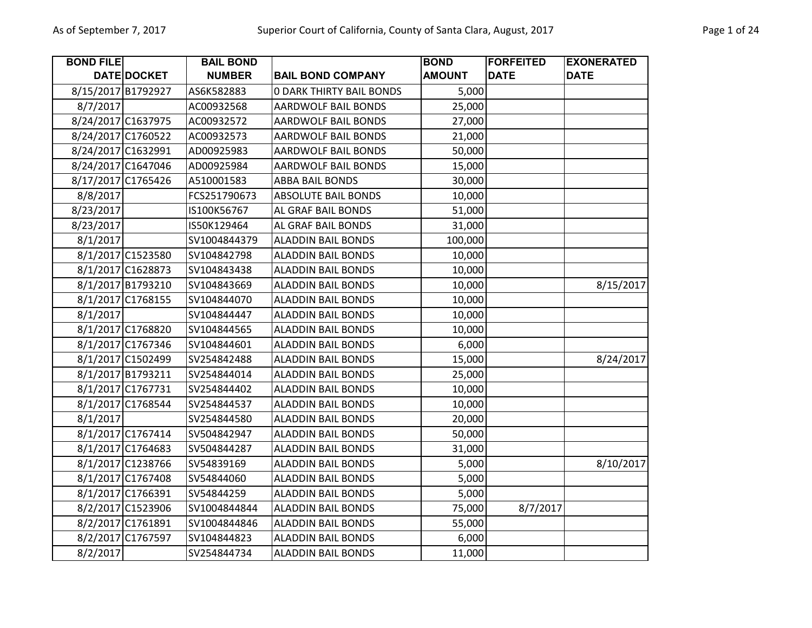| <b>BOND FILE</b> |                    | <b>BAIL BOND</b> |                                 | <b>BOND</b>   | <b>FORFEITED</b> | <b>EXONERATED</b> |
|------------------|--------------------|------------------|---------------------------------|---------------|------------------|-------------------|
|                  | DATE DOCKET        | <b>NUMBER</b>    | <b>BAIL BOND COMPANY</b>        | <b>AMOUNT</b> | <b>DATE</b>      | <b>DATE</b>       |
|                  | 8/15/2017 B1792927 | AS6K582883       | <b>0 DARK THIRTY BAIL BONDS</b> | 5,000         |                  |                   |
| 8/7/2017         |                    | AC00932568       | <b>AARDWOLF BAIL BONDS</b>      | 25,000        |                  |                   |
|                  | 8/24/2017 C1637975 | AC00932572       | <b>AARDWOLF BAIL BONDS</b>      | 27,000        |                  |                   |
|                  | 8/24/2017 C1760522 | AC00932573       | AARDWOLF BAIL BONDS             | 21,000        |                  |                   |
|                  | 8/24/2017 C1632991 | AD00925983       | AARDWOLF BAIL BONDS             | 50,000        |                  |                   |
|                  | 8/24/2017 C1647046 | AD00925984       | AARDWOLF BAIL BONDS             | 15,000        |                  |                   |
|                  | 8/17/2017 C1765426 | A510001583       | <b>ABBA BAIL BONDS</b>          | 30,000        |                  |                   |
| 8/8/2017         |                    | FCS251790673     | <b>ABSOLUTE BAIL BONDS</b>      | 10,000        |                  |                   |
| 8/23/2017        |                    | IS100K56767      | AL GRAF BAIL BONDS              | 51,000        |                  |                   |
| 8/23/2017        |                    | IS50K129464      | AL GRAF BAIL BONDS              | 31,000        |                  |                   |
| 8/1/2017         |                    | SV1004844379     | <b>ALADDIN BAIL BONDS</b>       | 100,000       |                  |                   |
|                  | 8/1/2017 C1523580  | SV104842798      | <b>ALADDIN BAIL BONDS</b>       | 10,000        |                  |                   |
|                  | 8/1/2017 C1628873  | SV104843438      | <b>ALADDIN BAIL BONDS</b>       | 10,000        |                  |                   |
|                  | 8/1/2017 B1793210  | SV104843669      | <b>ALADDIN BAIL BONDS</b>       | 10,000        |                  | 8/15/2017         |
|                  | 8/1/2017 C1768155  | SV104844070      | <b>ALADDIN BAIL BONDS</b>       | 10,000        |                  |                   |
| 8/1/2017         |                    | SV104844447      | <b>ALADDIN BAIL BONDS</b>       | 10,000        |                  |                   |
|                  | 8/1/2017 C1768820  | SV104844565      | <b>ALADDIN BAIL BONDS</b>       | 10,000        |                  |                   |
|                  | 8/1/2017 C1767346  | SV104844601      | <b>ALADDIN BAIL BONDS</b>       | 6,000         |                  |                   |
|                  | 8/1/2017 C1502499  | SV254842488      | <b>ALADDIN BAIL BONDS</b>       | 15,000        |                  | 8/24/2017         |
|                  | 8/1/2017 B1793211  | SV254844014      | <b>ALADDIN BAIL BONDS</b>       | 25,000        |                  |                   |
|                  | 8/1/2017 C1767731  | SV254844402      | <b>ALADDIN BAIL BONDS</b>       | 10,000        |                  |                   |
|                  | 8/1/2017 C1768544  | SV254844537      | <b>ALADDIN BAIL BONDS</b>       | 10,000        |                  |                   |
| 8/1/2017         |                    | SV254844580      | <b>ALADDIN BAIL BONDS</b>       | 20,000        |                  |                   |
|                  | 8/1/2017 C1767414  | SV504842947      | <b>ALADDIN BAIL BONDS</b>       | 50,000        |                  |                   |
|                  | 8/1/2017 C1764683  | SV504844287      | <b>ALADDIN BAIL BONDS</b>       | 31,000        |                  |                   |
|                  | 8/1/2017 C1238766  | SV54839169       | <b>ALADDIN BAIL BONDS</b>       | 5,000         |                  | 8/10/2017         |
|                  | 8/1/2017 C1767408  | SV54844060       | <b>ALADDIN BAIL BONDS</b>       | 5,000         |                  |                   |
|                  | 8/1/2017 C1766391  | SV54844259       | <b>ALADDIN BAIL BONDS</b>       | 5,000         |                  |                   |
|                  | 8/2/2017 C1523906  | SV1004844844     | <b>ALADDIN BAIL BONDS</b>       | 75,000        | 8/7/2017         |                   |
|                  | 8/2/2017 C1761891  | SV1004844846     | <b>ALADDIN BAIL BONDS</b>       | 55,000        |                  |                   |
|                  | 8/2/2017 C1767597  | SV104844823      | <b>ALADDIN BAIL BONDS</b>       | 6,000         |                  |                   |
| 8/2/2017         |                    | SV254844734      | <b>ALADDIN BAIL BONDS</b>       | 11,000        |                  |                   |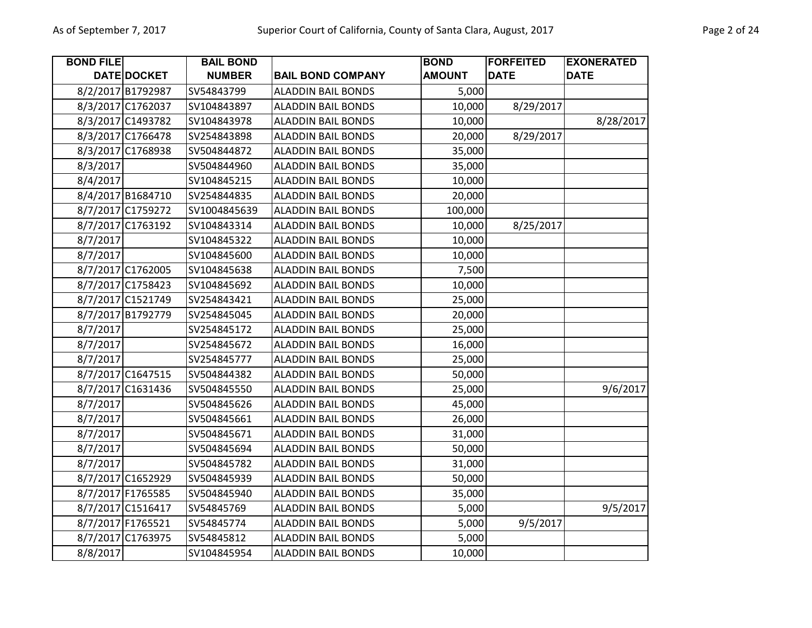| <b>BOND FILE</b> |                   | <b>BAIL BOND</b> |                           | <b>BOND</b>   | <b>FORFEITED</b> | <b>EXONERATED</b> |
|------------------|-------------------|------------------|---------------------------|---------------|------------------|-------------------|
|                  | DATE DOCKET       | <b>NUMBER</b>    | <b>BAIL BOND COMPANY</b>  | <b>AMOUNT</b> | <b>DATE</b>      | <b>DATE</b>       |
|                  | 8/2/2017 B1792987 | SV54843799       | <b>ALADDIN BAIL BONDS</b> | 5,000         |                  |                   |
|                  | 8/3/2017 C1762037 | SV104843897      | <b>ALADDIN BAIL BONDS</b> | 10,000        | 8/29/2017        |                   |
|                  | 8/3/2017 C1493782 | SV104843978      | <b>ALADDIN BAIL BONDS</b> | 10,000        |                  | 8/28/2017         |
|                  | 8/3/2017 C1766478 | SV254843898      | <b>ALADDIN BAIL BONDS</b> | 20,000        | 8/29/2017        |                   |
|                  | 8/3/2017 C1768938 | SV504844872      | <b>ALADDIN BAIL BONDS</b> | 35,000        |                  |                   |
| 8/3/2017         |                   | SV504844960      | <b>ALADDIN BAIL BONDS</b> | 35,000        |                  |                   |
| 8/4/2017         |                   | SV104845215      | <b>ALADDIN BAIL BONDS</b> | 10,000        |                  |                   |
|                  | 8/4/2017 B1684710 | SV254844835      | <b>ALADDIN BAIL BONDS</b> | 20,000        |                  |                   |
|                  | 8/7/2017 C1759272 | SV1004845639     | <b>ALADDIN BAIL BONDS</b> | 100,000       |                  |                   |
|                  | 8/7/2017 C1763192 | SV104843314      | <b>ALADDIN BAIL BONDS</b> | 10,000        | 8/25/2017        |                   |
| 8/7/2017         |                   | SV104845322      | <b>ALADDIN BAIL BONDS</b> | 10,000        |                  |                   |
| 8/7/2017         |                   | SV104845600      | <b>ALADDIN BAIL BONDS</b> | 10,000        |                  |                   |
|                  | 8/7/2017 C1762005 | SV104845638      | <b>ALADDIN BAIL BONDS</b> | 7,500         |                  |                   |
|                  | 8/7/2017 C1758423 | SV104845692      | <b>ALADDIN BAIL BONDS</b> | 10,000        |                  |                   |
|                  | 8/7/2017 C1521749 | SV254843421      | <b>ALADDIN BAIL BONDS</b> | 25,000        |                  |                   |
|                  | 8/7/2017 B1792779 | SV254845045      | <b>ALADDIN BAIL BONDS</b> | 20,000        |                  |                   |
| 8/7/2017         |                   | SV254845172      | <b>ALADDIN BAIL BONDS</b> | 25,000        |                  |                   |
| 8/7/2017         |                   | SV254845672      | <b>ALADDIN BAIL BONDS</b> | 16,000        |                  |                   |
| 8/7/2017         |                   | SV254845777      | <b>ALADDIN BAIL BONDS</b> | 25,000        |                  |                   |
|                  | 8/7/2017 C1647515 | SV504844382      | <b>ALADDIN BAIL BONDS</b> | 50,000        |                  |                   |
|                  | 8/7/2017 C1631436 | SV504845550      | <b>ALADDIN BAIL BONDS</b> | 25,000        |                  | 9/6/2017          |
| 8/7/2017         |                   | SV504845626      | <b>ALADDIN BAIL BONDS</b> | 45,000        |                  |                   |
| 8/7/2017         |                   | SV504845661      | <b>ALADDIN BAIL BONDS</b> | 26,000        |                  |                   |
| 8/7/2017         |                   | SV504845671      | <b>ALADDIN BAIL BONDS</b> | 31,000        |                  |                   |
| 8/7/2017         |                   | SV504845694      | <b>ALADDIN BAIL BONDS</b> | 50,000        |                  |                   |
| 8/7/2017         |                   | SV504845782      | <b>ALADDIN BAIL BONDS</b> | 31,000        |                  |                   |
|                  | 8/7/2017 C1652929 | SV504845939      | <b>ALADDIN BAIL BONDS</b> | 50,000        |                  |                   |
|                  | 8/7/2017 F1765585 | SV504845940      | <b>ALADDIN BAIL BONDS</b> | 35,000        |                  |                   |
|                  | 8/7/2017 C1516417 | SV54845769       | <b>ALADDIN BAIL BONDS</b> | 5,000         |                  | 9/5/2017          |
|                  | 8/7/2017 F1765521 | SV54845774       | <b>ALADDIN BAIL BONDS</b> | 5,000         | 9/5/2017         |                   |
|                  | 8/7/2017 C1763975 | SV54845812       | <b>ALADDIN BAIL BONDS</b> | 5,000         |                  |                   |
| 8/8/2017         |                   | SV104845954      | <b>ALADDIN BAIL BONDS</b> | 10,000        |                  |                   |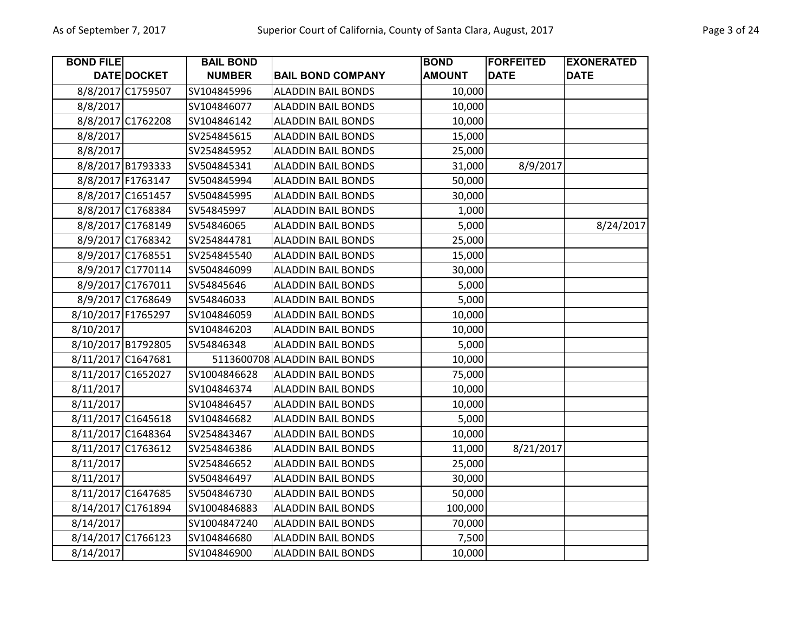| <b>BOND FILE</b>   |                   | <b>BAIL BOND</b> |                               | <b>BOND</b>   | <b>FORFEITED</b> | <b>EXONERATED</b> |
|--------------------|-------------------|------------------|-------------------------------|---------------|------------------|-------------------|
|                    | DATE DOCKET       | <b>NUMBER</b>    | <b>BAIL BOND COMPANY</b>      | <b>AMOUNT</b> | <b>DATE</b>      | <b>DATE</b>       |
|                    | 8/8/2017 C1759507 | SV104845996      | <b>ALADDIN BAIL BONDS</b>     | 10,000        |                  |                   |
| 8/8/2017           |                   | SV104846077      | <b>ALADDIN BAIL BONDS</b>     | 10,000        |                  |                   |
|                    | 8/8/2017 C1762208 | SV104846142      | <b>ALADDIN BAIL BONDS</b>     | 10,000        |                  |                   |
| 8/8/2017           |                   | SV254845615      | <b>ALADDIN BAIL BONDS</b>     | 15,000        |                  |                   |
| 8/8/2017           |                   | SV254845952      | <b>ALADDIN BAIL BONDS</b>     | 25,000        |                  |                   |
|                    | 8/8/2017 B1793333 | SV504845341      | <b>ALADDIN BAIL BONDS</b>     | 31,000        | 8/9/2017         |                   |
|                    | 8/8/2017 F1763147 | SV504845994      | <b>ALADDIN BAIL BONDS</b>     | 50,000        |                  |                   |
|                    | 8/8/2017 C1651457 | SV504845995      | <b>ALADDIN BAIL BONDS</b>     | 30,000        |                  |                   |
|                    | 8/8/2017 C1768384 | SV54845997       | <b>ALADDIN BAIL BONDS</b>     | 1,000         |                  |                   |
|                    | 8/8/2017 C1768149 | SV54846065       | <b>ALADDIN BAIL BONDS</b>     | 5,000         |                  | 8/24/2017         |
|                    | 8/9/2017 C1768342 | SV254844781      | <b>ALADDIN BAIL BONDS</b>     | 25,000        |                  |                   |
|                    | 8/9/2017 C1768551 | SV254845540      | <b>ALADDIN BAIL BONDS</b>     | 15,000        |                  |                   |
|                    | 8/9/2017 C1770114 | SV504846099      | <b>ALADDIN BAIL BONDS</b>     | 30,000        |                  |                   |
|                    | 8/9/2017 C1767011 | SV54845646       | <b>ALADDIN BAIL BONDS</b>     | 5,000         |                  |                   |
|                    | 8/9/2017 C1768649 | SV54846033       | <b>ALADDIN BAIL BONDS</b>     | 5,000         |                  |                   |
| 8/10/2017 F1765297 |                   | SV104846059      | <b>ALADDIN BAIL BONDS</b>     | 10,000        |                  |                   |
| 8/10/2017          |                   | SV104846203      | <b>ALADDIN BAIL BONDS</b>     | 10,000        |                  |                   |
| 8/10/2017 B1792805 |                   | SV54846348       | <b>ALADDIN BAIL BONDS</b>     | 5,000         |                  |                   |
| 8/11/2017 C1647681 |                   |                  | 5113600708 ALADDIN BAIL BONDS | 10,000        |                  |                   |
| 8/11/2017 C1652027 |                   | SV1004846628     | <b>ALADDIN BAIL BONDS</b>     | 75,000        |                  |                   |
| 8/11/2017          |                   | SV104846374      | <b>ALADDIN BAIL BONDS</b>     | 10,000        |                  |                   |
| 8/11/2017          |                   | SV104846457      | <b>ALADDIN BAIL BONDS</b>     | 10,000        |                  |                   |
| 8/11/2017 C1645618 |                   | SV104846682      | <b>ALADDIN BAIL BONDS</b>     | 5,000         |                  |                   |
| 8/11/2017 C1648364 |                   | SV254843467      | <b>ALADDIN BAIL BONDS</b>     | 10,000        |                  |                   |
| 8/11/2017 C1763612 |                   | SV254846386      | <b>ALADDIN BAIL BONDS</b>     | 11,000        | 8/21/2017        |                   |
| 8/11/2017          |                   | SV254846652      | <b>ALADDIN BAIL BONDS</b>     | 25,000        |                  |                   |
| 8/11/2017          |                   | SV504846497      | <b>ALADDIN BAIL BONDS</b>     | 30,000        |                  |                   |
| 8/11/2017 C1647685 |                   | SV504846730      | <b>ALADDIN BAIL BONDS</b>     | 50,000        |                  |                   |
| 8/14/2017 C1761894 |                   | SV1004846883     | <b>ALADDIN BAIL BONDS</b>     | 100,000       |                  |                   |
| 8/14/2017          |                   | SV1004847240     | <b>ALADDIN BAIL BONDS</b>     | 70,000        |                  |                   |
| 8/14/2017 C1766123 |                   | SV104846680      | <b>ALADDIN BAIL BONDS</b>     | 7,500         |                  |                   |
| 8/14/2017          |                   | SV104846900      | <b>ALADDIN BAIL BONDS</b>     | 10,000        |                  |                   |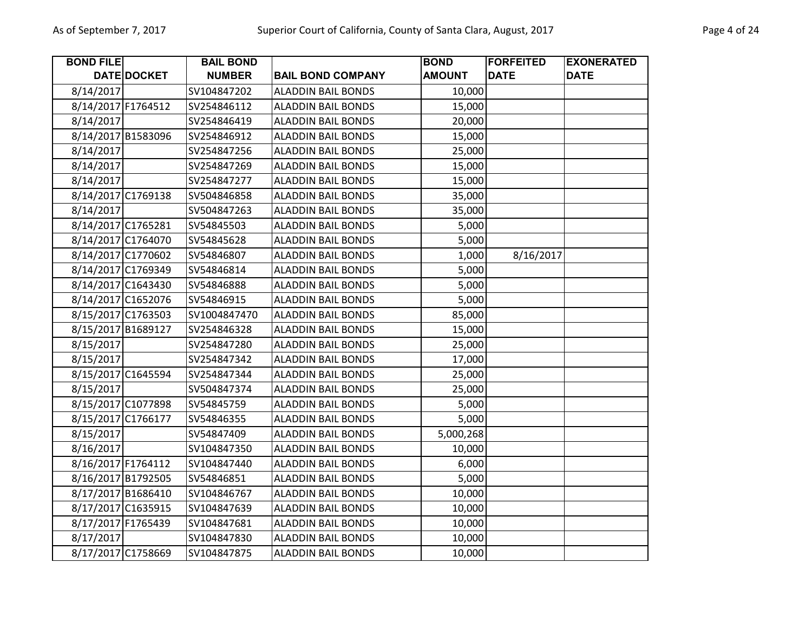| <b>BOND FILE</b>   |             | <b>BAIL BOND</b> |                           | <b>BOND</b>   | <b>FORFEITED</b> | <b>EXONERATED</b> |
|--------------------|-------------|------------------|---------------------------|---------------|------------------|-------------------|
|                    | DATE DOCKET | <b>NUMBER</b>    | <b>BAIL BOND COMPANY</b>  | <b>AMOUNT</b> | <b>DATE</b>      | <b>DATE</b>       |
| 8/14/2017          |             | SV104847202      | <b>ALADDIN BAIL BONDS</b> | 10,000        |                  |                   |
| 8/14/2017 F1764512 |             | SV254846112      | <b>ALADDIN BAIL BONDS</b> | 15,000        |                  |                   |
| 8/14/2017          |             | SV254846419      | <b>ALADDIN BAIL BONDS</b> | 20,000        |                  |                   |
| 8/14/2017 B1583096 |             | SV254846912      | <b>ALADDIN BAIL BONDS</b> | 15,000        |                  |                   |
| 8/14/2017          |             | SV254847256      | <b>ALADDIN BAIL BONDS</b> | 25,000        |                  |                   |
| 8/14/2017          |             | SV254847269      | <b>ALADDIN BAIL BONDS</b> | 15,000        |                  |                   |
| 8/14/2017          |             | SV254847277      | <b>ALADDIN BAIL BONDS</b> | 15,000        |                  |                   |
| 8/14/2017 C1769138 |             | SV504846858      | <b>ALADDIN BAIL BONDS</b> | 35,000        |                  |                   |
| 8/14/2017          |             | SV504847263      | <b>ALADDIN BAIL BONDS</b> | 35,000        |                  |                   |
| 8/14/2017 C1765281 |             | SV54845503       | <b>ALADDIN BAIL BONDS</b> | 5,000         |                  |                   |
| 8/14/2017 C1764070 |             | SV54845628       | <b>ALADDIN BAIL BONDS</b> | 5,000         |                  |                   |
| 8/14/2017 C1770602 |             | SV54846807       | <b>ALADDIN BAIL BONDS</b> | 1,000         | 8/16/2017        |                   |
| 8/14/2017 C1769349 |             | SV54846814       | <b>ALADDIN BAIL BONDS</b> | 5,000         |                  |                   |
| 8/14/2017 C1643430 |             | SV54846888       | <b>ALADDIN BAIL BONDS</b> | 5,000         |                  |                   |
| 8/14/2017 C1652076 |             | SV54846915       | <b>ALADDIN BAIL BONDS</b> | 5,000         |                  |                   |
| 8/15/2017 C1763503 |             | SV1004847470     | <b>ALADDIN BAIL BONDS</b> | 85,000        |                  |                   |
| 8/15/2017 B1689127 |             | SV254846328      | <b>ALADDIN BAIL BONDS</b> | 15,000        |                  |                   |
| 8/15/2017          |             | SV254847280      | <b>ALADDIN BAIL BONDS</b> | 25,000        |                  |                   |
| 8/15/2017          |             | SV254847342      | <b>ALADDIN BAIL BONDS</b> | 17,000        |                  |                   |
| 8/15/2017 C1645594 |             | SV254847344      | <b>ALADDIN BAIL BONDS</b> | 25,000        |                  |                   |
| 8/15/2017          |             | SV504847374      | <b>ALADDIN BAIL BONDS</b> | 25,000        |                  |                   |
| 8/15/2017 C1077898 |             | SV54845759       | <b>ALADDIN BAIL BONDS</b> | 5,000         |                  |                   |
| 8/15/2017 C1766177 |             | SV54846355       | <b>ALADDIN BAIL BONDS</b> | 5,000         |                  |                   |
| 8/15/2017          |             | SV54847409       | <b>ALADDIN BAIL BONDS</b> | 5,000,268     |                  |                   |
| 8/16/2017          |             | SV104847350      | <b>ALADDIN BAIL BONDS</b> | 10,000        |                  |                   |
| 8/16/2017 F1764112 |             | SV104847440      | <b>ALADDIN BAIL BONDS</b> | 6,000         |                  |                   |
| 8/16/2017 B1792505 |             | SV54846851       | <b>ALADDIN BAIL BONDS</b> | 5,000         |                  |                   |
| 8/17/2017 B1686410 |             | SV104846767      | <b>ALADDIN BAIL BONDS</b> | 10,000        |                  |                   |
| 8/17/2017 C1635915 |             | SV104847639      | <b>ALADDIN BAIL BONDS</b> | 10,000        |                  |                   |
| 8/17/2017 F1765439 |             | SV104847681      | <b>ALADDIN BAIL BONDS</b> | 10,000        |                  |                   |
| 8/17/2017          |             | SV104847830      | <b>ALADDIN BAIL BONDS</b> | 10,000        |                  |                   |
| 8/17/2017 C1758669 |             | SV104847875      | <b>ALADDIN BAIL BONDS</b> | 10,000        |                  |                   |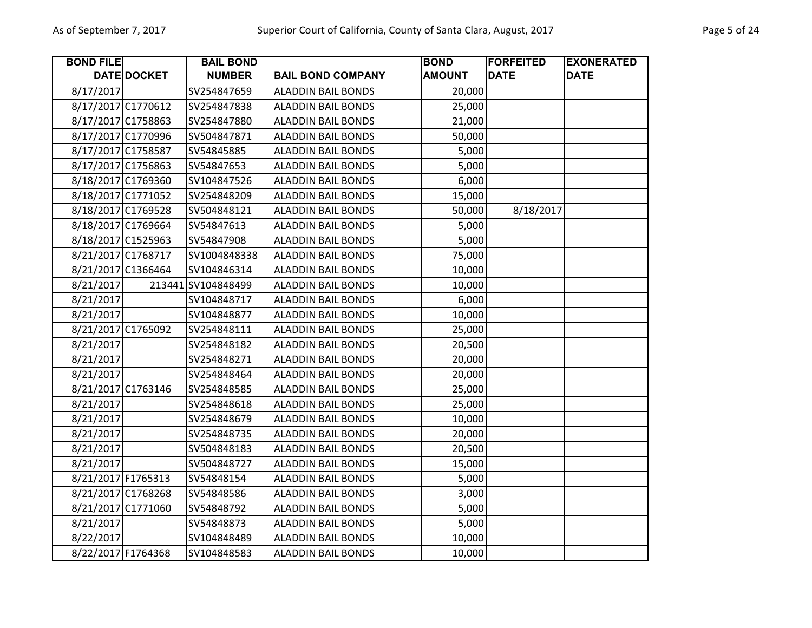| <b>BOND FILE</b>   |                    | <b>BAIL BOND</b>   |                           | <b>BOND</b>   | <b>FORFEITED</b> | <b>EXONERATED</b> |
|--------------------|--------------------|--------------------|---------------------------|---------------|------------------|-------------------|
|                    | <b>DATE DOCKET</b> | <b>NUMBER</b>      | <b>BAIL BOND COMPANY</b>  | <b>AMOUNT</b> | <b>DATE</b>      | <b>DATE</b>       |
| 8/17/2017          |                    | SV254847659        | <b>ALADDIN BAIL BONDS</b> | 20,000        |                  |                   |
| 8/17/2017 C1770612 |                    | SV254847838        | <b>ALADDIN BAIL BONDS</b> | 25,000        |                  |                   |
| 8/17/2017 C1758863 |                    | SV254847880        | <b>ALADDIN BAIL BONDS</b> | 21,000        |                  |                   |
| 8/17/2017 C1770996 |                    | SV504847871        | <b>ALADDIN BAIL BONDS</b> | 50,000        |                  |                   |
| 8/17/2017 C1758587 |                    | SV54845885         | <b>ALADDIN BAIL BONDS</b> | 5,000         |                  |                   |
| 8/17/2017 C1756863 |                    | SV54847653         | <b>ALADDIN BAIL BONDS</b> | 5,000         |                  |                   |
| 8/18/2017 C1769360 |                    | SV104847526        | <b>ALADDIN BAIL BONDS</b> | 6,000         |                  |                   |
| 8/18/2017 C1771052 |                    | SV254848209        | <b>ALADDIN BAIL BONDS</b> | 15,000        |                  |                   |
| 8/18/2017 C1769528 |                    | SV504848121        | <b>ALADDIN BAIL BONDS</b> | 50,000        | 8/18/2017        |                   |
| 8/18/2017 C1769664 |                    | SV54847613         | <b>ALADDIN BAIL BONDS</b> | 5,000         |                  |                   |
| 8/18/2017 C1525963 |                    | SV54847908         | <b>ALADDIN BAIL BONDS</b> | 5,000         |                  |                   |
| 8/21/2017 C1768717 |                    | SV1004848338       | <b>ALADDIN BAIL BONDS</b> | 75,000        |                  |                   |
| 8/21/2017 C1366464 |                    | SV104846314        | <b>ALADDIN BAIL BONDS</b> | 10,000        |                  |                   |
| 8/21/2017          |                    | 213441 SV104848499 | <b>ALADDIN BAIL BONDS</b> | 10,000        |                  |                   |
| 8/21/2017          |                    | SV104848717        | <b>ALADDIN BAIL BONDS</b> | 6,000         |                  |                   |
| 8/21/2017          |                    | SV104848877        | <b>ALADDIN BAIL BONDS</b> | 10,000        |                  |                   |
| 8/21/2017 C1765092 |                    | SV254848111        | <b>ALADDIN BAIL BONDS</b> | 25,000        |                  |                   |
| 8/21/2017          |                    | SV254848182        | <b>ALADDIN BAIL BONDS</b> | 20,500        |                  |                   |
| 8/21/2017          |                    | SV254848271        | <b>ALADDIN BAIL BONDS</b> | 20,000        |                  |                   |
| 8/21/2017          |                    | SV254848464        | <b>ALADDIN BAIL BONDS</b> | 20,000        |                  |                   |
| 8/21/2017 C1763146 |                    | SV254848585        | <b>ALADDIN BAIL BONDS</b> | 25,000        |                  |                   |
| 8/21/2017          |                    | SV254848618        | <b>ALADDIN BAIL BONDS</b> | 25,000        |                  |                   |
| 8/21/2017          |                    | SV254848679        | <b>ALADDIN BAIL BONDS</b> | 10,000        |                  |                   |
| 8/21/2017          |                    | SV254848735        | <b>ALADDIN BAIL BONDS</b> | 20,000        |                  |                   |
| 8/21/2017          |                    | SV504848183        | <b>ALADDIN BAIL BONDS</b> | 20,500        |                  |                   |
| 8/21/2017          |                    | SV504848727        | <b>ALADDIN BAIL BONDS</b> | 15,000        |                  |                   |
| 8/21/2017 F1765313 |                    | SV54848154         | <b>ALADDIN BAIL BONDS</b> | 5,000         |                  |                   |
| 8/21/2017 C1768268 |                    | SV54848586         | <b>ALADDIN BAIL BONDS</b> | 3,000         |                  |                   |
| 8/21/2017 C1771060 |                    | SV54848792         | <b>ALADDIN BAIL BONDS</b> | 5,000         |                  |                   |
| 8/21/2017          |                    | SV54848873         | <b>ALADDIN BAIL BONDS</b> | 5,000         |                  |                   |
| 8/22/2017          |                    | SV104848489        | <b>ALADDIN BAIL BONDS</b> | 10,000        |                  |                   |
| 8/22/2017 F1764368 |                    | SV104848583        | <b>ALADDIN BAIL BONDS</b> | 10,000        |                  |                   |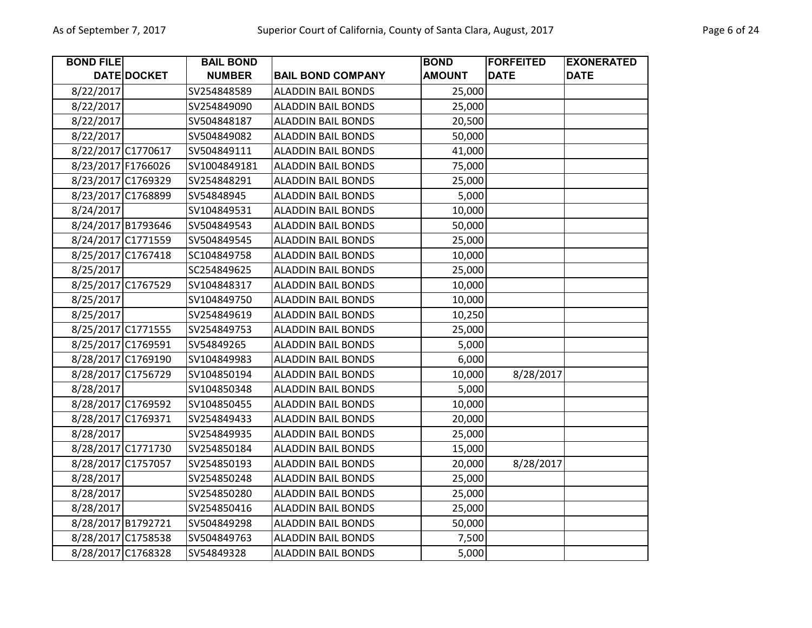| <b>BOND FILE</b>   |                    | <b>BAIL BOND</b> |                           | <b>BOND</b>   | <b>FORFEITED</b> | <b>EXONERATED</b> |
|--------------------|--------------------|------------------|---------------------------|---------------|------------------|-------------------|
|                    | DATE DOCKET        | <b>NUMBER</b>    | <b>BAIL BOND COMPANY</b>  | <b>AMOUNT</b> | <b>DATE</b>      | <b>DATE</b>       |
| 8/22/2017          |                    | SV254848589      | <b>ALADDIN BAIL BONDS</b> | 25,000        |                  |                   |
| 8/22/2017          |                    | SV254849090      | <b>ALADDIN BAIL BONDS</b> | 25,000        |                  |                   |
| 8/22/2017          |                    | SV504848187      | <b>ALADDIN BAIL BONDS</b> | 20,500        |                  |                   |
| 8/22/2017          |                    | SV504849082      | <b>ALADDIN BAIL BONDS</b> | 50,000        |                  |                   |
| 8/22/2017 C1770617 |                    | SV504849111      | <b>ALADDIN BAIL BONDS</b> | 41,000        |                  |                   |
| 8/23/2017 F1766026 |                    | SV1004849181     | <b>ALADDIN BAIL BONDS</b> | 75,000        |                  |                   |
| 8/23/2017 C1769329 |                    | SV254848291      | <b>ALADDIN BAIL BONDS</b> | 25,000        |                  |                   |
| 8/23/2017 C1768899 |                    | SV54848945       | <b>ALADDIN BAIL BONDS</b> | 5,000         |                  |                   |
| 8/24/2017          |                    | SV104849531      | <b>ALADDIN BAIL BONDS</b> | 10,000        |                  |                   |
|                    | 8/24/2017 B1793646 | SV504849543      | <b>ALADDIN BAIL BONDS</b> | 50,000        |                  |                   |
| 8/24/2017 C1771559 |                    | SV504849545      | <b>ALADDIN BAIL BONDS</b> | 25,000        |                  |                   |
| 8/25/2017 C1767418 |                    | SC104849758      | <b>ALADDIN BAIL BONDS</b> | 10,000        |                  |                   |
| 8/25/2017          |                    | SC254849625      | <b>ALADDIN BAIL BONDS</b> | 25,000        |                  |                   |
| 8/25/2017 C1767529 |                    | SV104848317      | <b>ALADDIN BAIL BONDS</b> | 10,000        |                  |                   |
| 8/25/2017          |                    | SV104849750      | <b>ALADDIN BAIL BONDS</b> | 10,000        |                  |                   |
| 8/25/2017          |                    | SV254849619      | <b>ALADDIN BAIL BONDS</b> | 10,250        |                  |                   |
| 8/25/2017 C1771555 |                    | SV254849753      | <b>ALADDIN BAIL BONDS</b> | 25,000        |                  |                   |
| 8/25/2017 C1769591 |                    | SV54849265       | <b>ALADDIN BAIL BONDS</b> | 5,000         |                  |                   |
| 8/28/2017 C1769190 |                    | SV104849983      | <b>ALADDIN BAIL BONDS</b> | 6,000         |                  |                   |
| 8/28/2017 C1756729 |                    | SV104850194      | <b>ALADDIN BAIL BONDS</b> | 10,000        | 8/28/2017        |                   |
| 8/28/2017          |                    | SV104850348      | <b>ALADDIN BAIL BONDS</b> | 5,000         |                  |                   |
| 8/28/2017 C1769592 |                    | SV104850455      | <b>ALADDIN BAIL BONDS</b> | 10,000        |                  |                   |
| 8/28/2017 C1769371 |                    | SV254849433      | <b>ALADDIN BAIL BONDS</b> | 20,000        |                  |                   |
| 8/28/2017          |                    | SV254849935      | <b>ALADDIN BAIL BONDS</b> | 25,000        |                  |                   |
|                    | 8/28/2017 C1771730 | SV254850184      | <b>ALADDIN BAIL BONDS</b> | 15,000        |                  |                   |
| 8/28/2017 C1757057 |                    | SV254850193      | <b>ALADDIN BAIL BONDS</b> | 20,000        | 8/28/2017        |                   |
| 8/28/2017          |                    | SV254850248      | <b>ALADDIN BAIL BONDS</b> | 25,000        |                  |                   |
| 8/28/2017          |                    | SV254850280      | <b>ALADDIN BAIL BONDS</b> | 25,000        |                  |                   |
| 8/28/2017          |                    | SV254850416      | <b>ALADDIN BAIL BONDS</b> | 25,000        |                  |                   |
| 8/28/2017 B1792721 |                    | SV504849298      | <b>ALADDIN BAIL BONDS</b> | 50,000        |                  |                   |
| 8/28/2017 C1758538 |                    | SV504849763      | <b>ALADDIN BAIL BONDS</b> | 7,500         |                  |                   |
| 8/28/2017 C1768328 |                    | SV54849328       | <b>ALADDIN BAIL BONDS</b> | 5,000         |                  |                   |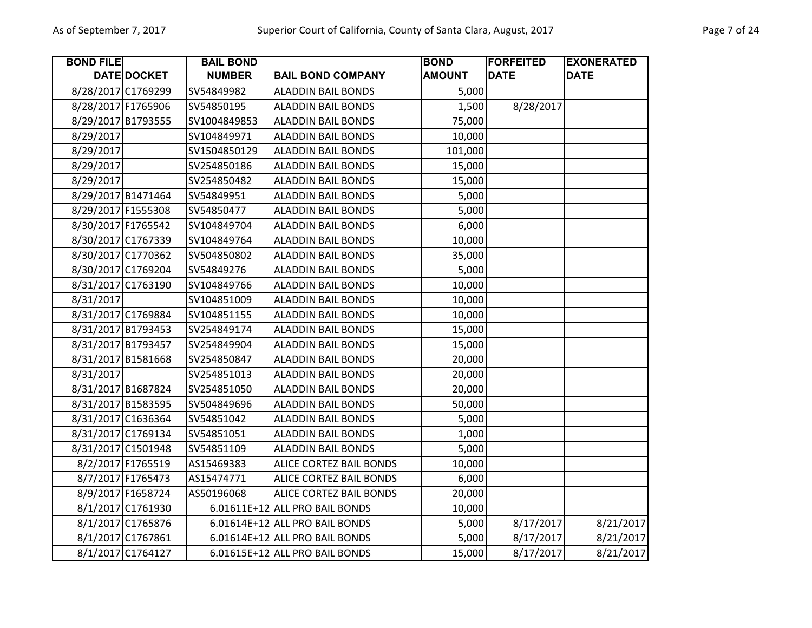| <b>BOND FILE</b>   |                    | <b>BAIL BOND</b> |                                | <b>BOND</b>   | <b>FORFEITED</b> | <b>EXONERATED</b> |
|--------------------|--------------------|------------------|--------------------------------|---------------|------------------|-------------------|
|                    | DATE DOCKET        | <b>NUMBER</b>    | <b>BAIL BOND COMPANY</b>       | <b>AMOUNT</b> | <b>DATE</b>      | <b>DATE</b>       |
|                    | 8/28/2017 C1769299 | SV54849982       | <b>ALADDIN BAIL BONDS</b>      | 5,000         |                  |                   |
| 8/28/2017 F1765906 |                    | SV54850195       | <b>ALADDIN BAIL BONDS</b>      | 1,500         | 8/28/2017        |                   |
| 8/29/2017 B1793555 |                    | SV1004849853     | <b>ALADDIN BAIL BONDS</b>      | 75,000        |                  |                   |
| 8/29/2017          |                    | SV104849971      | <b>ALADDIN BAIL BONDS</b>      | 10,000        |                  |                   |
| 8/29/2017          |                    | SV1504850129     | <b>ALADDIN BAIL BONDS</b>      | 101,000       |                  |                   |
| 8/29/2017          |                    | SV254850186      | <b>ALADDIN BAIL BONDS</b>      | 15,000        |                  |                   |
| 8/29/2017          |                    | SV254850482      | <b>ALADDIN BAIL BONDS</b>      | 15,000        |                  |                   |
|                    | 8/29/2017 B1471464 | SV54849951       | <b>ALADDIN BAIL BONDS</b>      | 5,000         |                  |                   |
| 8/29/2017 F1555308 |                    | SV54850477       | <b>ALADDIN BAIL BONDS</b>      | 5,000         |                  |                   |
| 8/30/2017 F1765542 |                    | SV104849704      | <b>ALADDIN BAIL BONDS</b>      | 6,000         |                  |                   |
|                    | 8/30/2017 C1767339 | SV104849764      | <b>ALADDIN BAIL BONDS</b>      | 10,000        |                  |                   |
| 8/30/2017 C1770362 |                    | SV504850802      | <b>ALADDIN BAIL BONDS</b>      | 35,000        |                  |                   |
| 8/30/2017 C1769204 |                    | SV54849276       | <b>ALADDIN BAIL BONDS</b>      | 5,000         |                  |                   |
|                    | 8/31/2017 C1763190 | SV104849766      | <b>ALADDIN BAIL BONDS</b>      | 10,000        |                  |                   |
| 8/31/2017          |                    | SV104851009      | <b>ALADDIN BAIL BONDS</b>      | 10,000        |                  |                   |
|                    | 8/31/2017 C1769884 | SV104851155      | <b>ALADDIN BAIL BONDS</b>      | 10,000        |                  |                   |
|                    | 8/31/2017 B1793453 | SV254849174      | <b>ALADDIN BAIL BONDS</b>      | 15,000        |                  |                   |
| 8/31/2017 B1793457 |                    | SV254849904      | <b>ALADDIN BAIL BONDS</b>      | 15,000        |                  |                   |
| 8/31/2017 B1581668 |                    | SV254850847      | <b>ALADDIN BAIL BONDS</b>      | 20,000        |                  |                   |
| 8/31/2017          |                    | SV254851013      | <b>ALADDIN BAIL BONDS</b>      | 20,000        |                  |                   |
|                    | 8/31/2017 B1687824 | SV254851050      | <b>ALADDIN BAIL BONDS</b>      | 20,000        |                  |                   |
|                    | 8/31/2017 B1583595 | SV504849696      | <b>ALADDIN BAIL BONDS</b>      | 50,000        |                  |                   |
|                    | 8/31/2017 C1636364 | SV54851042       | <b>ALADDIN BAIL BONDS</b>      | 5,000         |                  |                   |
|                    | 8/31/2017 C1769134 | SV54851051       | <b>ALADDIN BAIL BONDS</b>      | 1,000         |                  |                   |
|                    | 8/31/2017 C1501948 | SV54851109       | <b>ALADDIN BAIL BONDS</b>      | 5,000         |                  |                   |
|                    | 8/2/2017 F1765519  | AS15469383       | ALICE CORTEZ BAIL BONDS        | 10,000        |                  |                   |
|                    | 8/7/2017 F1765473  | AS15474771       | ALICE CORTEZ BAIL BONDS        | 6,000         |                  |                   |
|                    | 8/9/2017 F1658724  | AS50196068       | ALICE CORTEZ BAIL BONDS        | 20,000        |                  |                   |
|                    | 8/1/2017 C1761930  |                  | 6.01611E+12 ALL PRO BAIL BONDS | 10,000        |                  |                   |
|                    | 8/1/2017 C1765876  |                  | 6.01614E+12 ALL PRO BAIL BONDS | 5,000         | 8/17/2017        | 8/21/2017         |
|                    | 8/1/2017 C1767861  |                  | 6.01614E+12 ALL PRO BAIL BONDS | 5,000         | 8/17/2017        | 8/21/2017         |
|                    | 8/1/2017 C1764127  |                  | 6.01615E+12 ALL PRO BAIL BONDS | 15,000        | 8/17/2017        | 8/21/2017         |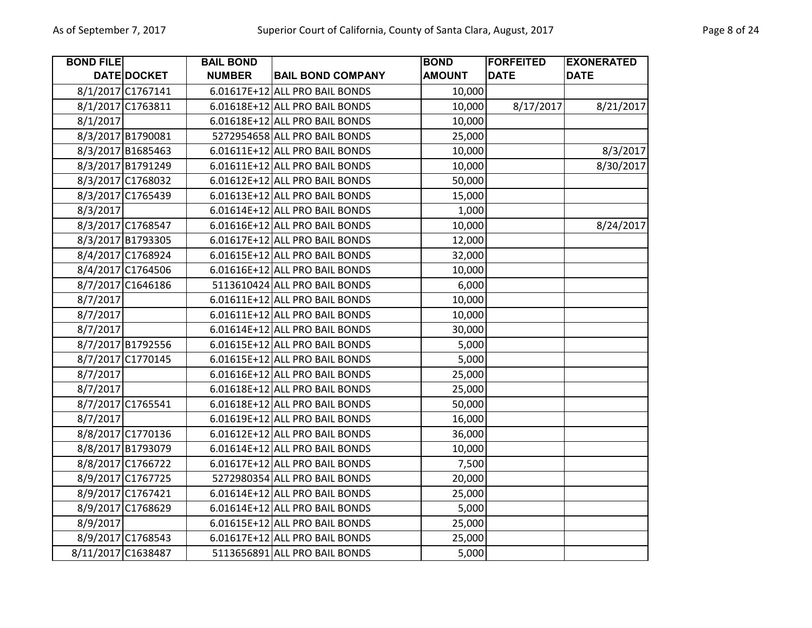| <b>BOND FILE</b> |                    | <b>BAIL BOND</b> |                                | <b>BOND</b>   | <b>FORFEITED</b> | <b>EXONERATED</b> |
|------------------|--------------------|------------------|--------------------------------|---------------|------------------|-------------------|
|                  | DATE DOCKET        | <b>NUMBER</b>    | <b>BAIL BOND COMPANY</b>       | <b>AMOUNT</b> | <b>DATE</b>      | <b>DATE</b>       |
|                  | 8/1/2017 C1767141  |                  | 6.01617E+12 ALL PRO BAIL BONDS | 10,000        |                  |                   |
|                  | 8/1/2017 C1763811  |                  | 6.01618E+12 ALL PRO BAIL BONDS | 10,000        | 8/17/2017        | 8/21/2017         |
| 8/1/2017         |                    |                  | 6.01618E+12 ALL PRO BAIL BONDS | 10,000        |                  |                   |
|                  | 8/3/2017 B1790081  |                  | 5272954658 ALL PRO BAIL BONDS  | 25,000        |                  |                   |
|                  | 8/3/2017 B1685463  |                  | 6.01611E+12 ALL PRO BAIL BONDS | 10,000        |                  | 8/3/2017          |
|                  | 8/3/2017 B1791249  |                  | 6.01611E+12 ALL PRO BAIL BONDS | 10,000        |                  | 8/30/2017         |
|                  | 8/3/2017 C1768032  |                  | 6.01612E+12 ALL PRO BAIL BONDS | 50,000        |                  |                   |
|                  | 8/3/2017 C1765439  |                  | 6.01613E+12 ALL PRO BAIL BONDS | 15,000        |                  |                   |
| 8/3/2017         |                    |                  | 6.01614E+12 ALL PRO BAIL BONDS | 1,000         |                  |                   |
|                  | 8/3/2017 C1768547  |                  | 6.01616E+12 ALL PRO BAIL BONDS | 10,000        |                  | 8/24/2017         |
|                  | 8/3/2017 B1793305  |                  | 6.01617E+12 ALL PRO BAIL BONDS | 12,000        |                  |                   |
|                  | 8/4/2017 C1768924  |                  | 6.01615E+12 ALL PRO BAIL BONDS | 32,000        |                  |                   |
|                  | 8/4/2017 C1764506  |                  | 6.01616E+12 ALL PRO BAIL BONDS | 10,000        |                  |                   |
|                  | 8/7/2017 C1646186  |                  | 5113610424 ALL PRO BAIL BONDS  | 6,000         |                  |                   |
| 8/7/2017         |                    |                  | 6.01611E+12 ALL PRO BAIL BONDS | 10,000        |                  |                   |
| 8/7/2017         |                    |                  | 6.01611E+12 ALL PRO BAIL BONDS | 10,000        |                  |                   |
| 8/7/2017         |                    |                  | 6.01614E+12 ALL PRO BAIL BONDS | 30,000        |                  |                   |
|                  | 8/7/2017 B1792556  |                  | 6.01615E+12 ALL PRO BAIL BONDS | 5,000         |                  |                   |
|                  | 8/7/2017 C1770145  |                  | 6.01615E+12 ALL PRO BAIL BONDS | 5,000         |                  |                   |
| 8/7/2017         |                    |                  | 6.01616E+12 ALL PRO BAIL BONDS | 25,000        |                  |                   |
| 8/7/2017         |                    |                  | 6.01618E+12 ALL PRO BAIL BONDS | 25,000        |                  |                   |
|                  | 8/7/2017 C1765541  |                  | 6.01618E+12 ALL PRO BAIL BONDS | 50,000        |                  |                   |
| 8/7/2017         |                    |                  | 6.01619E+12 ALL PRO BAIL BONDS | 16,000        |                  |                   |
|                  | 8/8/2017 C1770136  |                  | 6.01612E+12 ALL PRO BAIL BONDS | 36,000        |                  |                   |
|                  | 8/8/2017 B1793079  |                  | 6.01614E+12 ALL PRO BAIL BONDS | 10,000        |                  |                   |
|                  | 8/8/2017 C1766722  |                  | 6.01617E+12 ALL PRO BAIL BONDS | 7,500         |                  |                   |
|                  | 8/9/2017 C1767725  |                  | 5272980354 ALL PRO BAIL BONDS  | 20,000        |                  |                   |
|                  | 8/9/2017 C1767421  |                  | 6.01614E+12 ALL PRO BAIL BONDS | 25,000        |                  |                   |
|                  | 8/9/2017 C1768629  |                  | 6.01614E+12 ALL PRO BAIL BONDS | 5,000         |                  |                   |
| 8/9/2017         |                    |                  | 6.01615E+12 ALL PRO BAIL BONDS | 25,000        |                  |                   |
|                  | 8/9/2017 C1768543  |                  | 6.01617E+12 ALL PRO BAIL BONDS | 25,000        |                  |                   |
|                  | 8/11/2017 C1638487 |                  | 5113656891 ALL PRO BAIL BONDS  | 5,000         |                  |                   |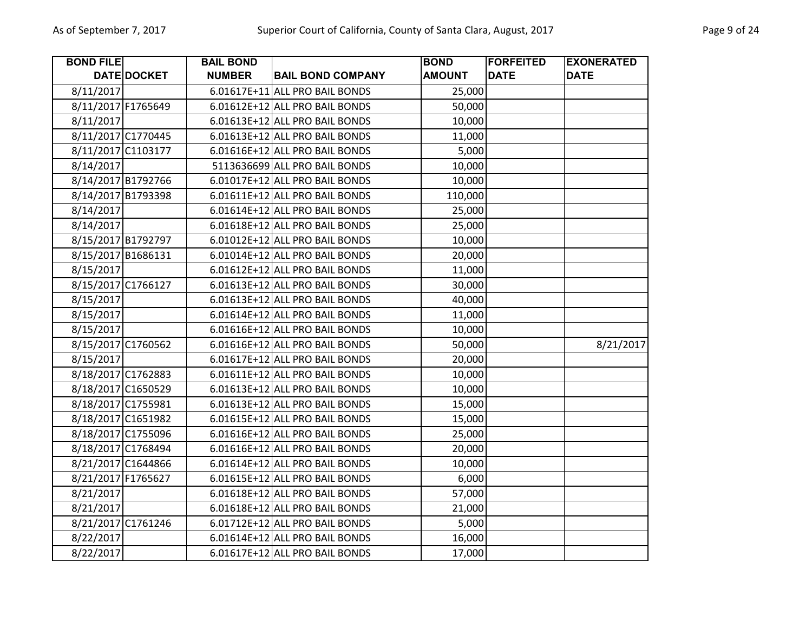| <b>BOND FILE</b>   |                    | <b>BAIL BOND</b> |                                | <b>BOND</b>   | <b>FORFEITED</b> | <b>EXONERATED</b> |
|--------------------|--------------------|------------------|--------------------------------|---------------|------------------|-------------------|
|                    | DATE DOCKET        | <b>NUMBER</b>    | <b>BAIL BOND COMPANY</b>       | <b>AMOUNT</b> | <b>DATE</b>      | <b>DATE</b>       |
| 8/11/2017          |                    |                  | 6.01617E+11 ALL PRO BAIL BONDS | 25,000        |                  |                   |
| 8/11/2017 F1765649 |                    |                  | 6.01612E+12 ALL PRO BAIL BONDS | 50,000        |                  |                   |
| 8/11/2017          |                    |                  | 6.01613E+12 ALL PRO BAIL BONDS | 10,000        |                  |                   |
| 8/11/2017 C1770445 |                    |                  | 6.01613E+12 ALL PRO BAIL BONDS | 11,000        |                  |                   |
|                    | 8/11/2017 C1103177 |                  | 6.01616E+12 ALL PRO BAIL BONDS | 5,000         |                  |                   |
| 8/14/2017          |                    |                  | 5113636699 ALL PRO BAIL BONDS  | 10,000        |                  |                   |
| 8/14/2017 B1792766 |                    |                  | 6.01017E+12 ALL PRO BAIL BONDS | 10,000        |                  |                   |
| 8/14/2017 B1793398 |                    |                  | 6.01611E+12 ALL PRO BAIL BONDS | 110,000       |                  |                   |
| 8/14/2017          |                    |                  | 6.01614E+12 ALL PRO BAIL BONDS | 25,000        |                  |                   |
| 8/14/2017          |                    |                  | 6.01618E+12 ALL PRO BAIL BONDS | 25,000        |                  |                   |
|                    | 8/15/2017 B1792797 |                  | 6.01012E+12 ALL PRO BAIL BONDS | 10,000        |                  |                   |
| 8/15/2017 B1686131 |                    |                  | 6.01014E+12 ALL PRO BAIL BONDS | 20,000        |                  |                   |
| 8/15/2017          |                    |                  | 6.01612E+12 ALL PRO BAIL BONDS | 11,000        |                  |                   |
|                    | 8/15/2017 C1766127 |                  | 6.01613E+12 ALL PRO BAIL BONDS | 30,000        |                  |                   |
| 8/15/2017          |                    |                  | 6.01613E+12 ALL PRO BAIL BONDS | 40,000        |                  |                   |
| 8/15/2017          |                    |                  | 6.01614E+12 ALL PRO BAIL BONDS | 11,000        |                  |                   |
| 8/15/2017          |                    |                  | 6.01616E+12 ALL PRO BAIL BONDS | 10,000        |                  |                   |
| 8/15/2017 C1760562 |                    |                  | 6.01616E+12 ALL PRO BAIL BONDS | 50,000        |                  | 8/21/2017         |
| 8/15/2017          |                    |                  | 6.01617E+12 ALL PRO BAIL BONDS | 20,000        |                  |                   |
| 8/18/2017 C1762883 |                    |                  | 6.01611E+12 ALL PRO BAIL BONDS | 10,000        |                  |                   |
|                    | 8/18/2017 C1650529 |                  | 6.01613E+12 ALL PRO BAIL BONDS | 10,000        |                  |                   |
| 8/18/2017 C1755981 |                    |                  | 6.01613E+12 ALL PRO BAIL BONDS | 15,000        |                  |                   |
| 8/18/2017 C1651982 |                    |                  | 6.01615E+12 ALL PRO BAIL BONDS | 15,000        |                  |                   |
| 8/18/2017 C1755096 |                    |                  | 6.01616E+12 ALL PRO BAIL BONDS | 25,000        |                  |                   |
| 8/18/2017 C1768494 |                    |                  | 6.01616E+12 ALL PRO BAIL BONDS | 20,000        |                  |                   |
|                    | 8/21/2017 C1644866 |                  | 6.01614E+12 ALL PRO BAIL BONDS | 10,000        |                  |                   |
| 8/21/2017 F1765627 |                    |                  | 6.01615E+12 ALL PRO BAIL BONDS | 6,000         |                  |                   |
| 8/21/2017          |                    |                  | 6.01618E+12 ALL PRO BAIL BONDS | 57,000        |                  |                   |
| 8/21/2017          |                    |                  | 6.01618E+12 ALL PRO BAIL BONDS | 21,000        |                  |                   |
|                    | 8/21/2017 C1761246 |                  | 6.01712E+12 ALL PRO BAIL BONDS | 5,000         |                  |                   |
| 8/22/2017          |                    |                  | 6.01614E+12 ALL PRO BAIL BONDS | 16,000        |                  |                   |
| 8/22/2017          |                    |                  | 6.01617E+12 ALL PRO BAIL BONDS | 17,000        |                  |                   |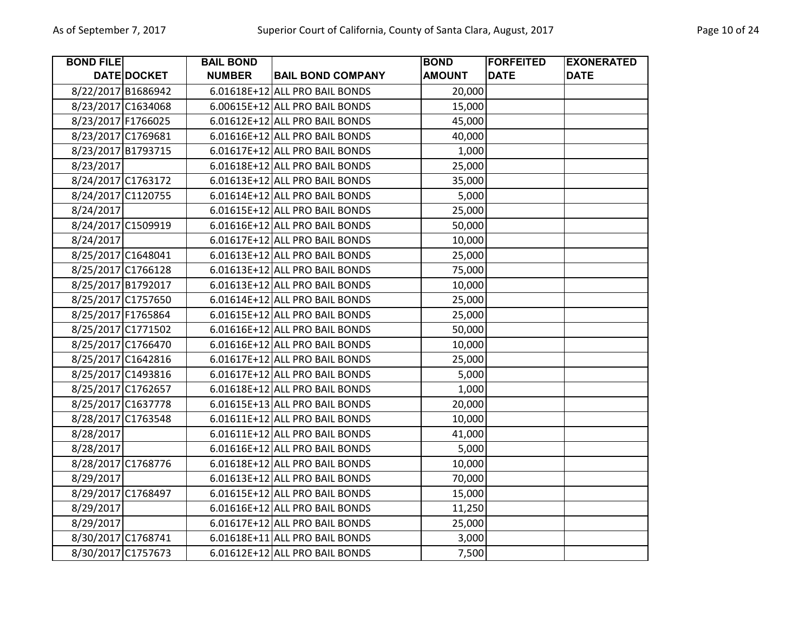| <b>BOND FILE</b>   |                    | <b>BAIL BOND</b> |                                | <b>BOND</b>   | <b>FORFEITED</b> | <b>EXONERATED</b> |
|--------------------|--------------------|------------------|--------------------------------|---------------|------------------|-------------------|
|                    | <b>DATE DOCKET</b> | <b>NUMBER</b>    | <b>BAIL BOND COMPANY</b>       | <b>AMOUNT</b> | <b>DATE</b>      | <b>DATE</b>       |
| 8/22/2017 B1686942 |                    |                  | 6.01618E+12 ALL PRO BAIL BONDS | 20,000        |                  |                   |
| 8/23/2017 C1634068 |                    |                  | 6.00615E+12 ALL PRO BAIL BONDS | 15,000        |                  |                   |
| 8/23/2017 F1766025 |                    |                  | 6.01612E+12 ALL PRO BAIL BONDS | 45,000        |                  |                   |
| 8/23/2017 C1769681 |                    |                  | 6.01616E+12 ALL PRO BAIL BONDS | 40,000        |                  |                   |
| 8/23/2017 B1793715 |                    |                  | 6.01617E+12 ALL PRO BAIL BONDS | 1,000         |                  |                   |
| 8/23/2017          |                    |                  | 6.01618E+12 ALL PRO BAIL BONDS | 25,000        |                  |                   |
| 8/24/2017 C1763172 |                    |                  | 6.01613E+12 ALL PRO BAIL BONDS | 35,000        |                  |                   |
| 8/24/2017 C1120755 |                    |                  | 6.01614E+12 ALL PRO BAIL BONDS | 5,000         |                  |                   |
| 8/24/2017          |                    |                  | 6.01615E+12 ALL PRO BAIL BONDS | 25,000        |                  |                   |
| 8/24/2017 C1509919 |                    |                  | 6.01616E+12 ALL PRO BAIL BONDS | 50,000        |                  |                   |
| 8/24/2017          |                    |                  | 6.01617E+12 ALL PRO BAIL BONDS | 10,000        |                  |                   |
| 8/25/2017 C1648041 |                    |                  | 6.01613E+12 ALL PRO BAIL BONDS | 25,000        |                  |                   |
| 8/25/2017 C1766128 |                    |                  | 6.01613E+12 ALL PRO BAIL BONDS | 75,000        |                  |                   |
| 8/25/2017 B1792017 |                    |                  | 6.01613E+12 ALL PRO BAIL BONDS | 10,000        |                  |                   |
| 8/25/2017 C1757650 |                    |                  | 6.01614E+12 ALL PRO BAIL BONDS | 25,000        |                  |                   |
| 8/25/2017 F1765864 |                    |                  | 6.01615E+12 ALL PRO BAIL BONDS | 25,000        |                  |                   |
| 8/25/2017 C1771502 |                    |                  | 6.01616E+12 ALL PRO BAIL BONDS | 50,000        |                  |                   |
| 8/25/2017 C1766470 |                    |                  | 6.01616E+12 ALL PRO BAIL BONDS | 10,000        |                  |                   |
| 8/25/2017 C1642816 |                    |                  | 6.01617E+12 ALL PRO BAIL BONDS | 25,000        |                  |                   |
| 8/25/2017 C1493816 |                    |                  | 6.01617E+12 ALL PRO BAIL BONDS | 5,000         |                  |                   |
| 8/25/2017 C1762657 |                    |                  | 6.01618E+12 ALL PRO BAIL BONDS | 1,000         |                  |                   |
| 8/25/2017 C1637778 |                    |                  | 6.01615E+13 ALL PRO BAIL BONDS | 20,000        |                  |                   |
| 8/28/2017 C1763548 |                    |                  | 6.01611E+12 ALL PRO BAIL BONDS | 10,000        |                  |                   |
| 8/28/2017          |                    |                  | 6.01611E+12 ALL PRO BAIL BONDS | 41,000        |                  |                   |
| 8/28/2017          |                    |                  | 6.01616E+12 ALL PRO BAIL BONDS | 5,000         |                  |                   |
| 8/28/2017 C1768776 |                    |                  | 6.01618E+12 ALL PRO BAIL BONDS | 10,000        |                  |                   |
| 8/29/2017          |                    |                  | 6.01613E+12 ALL PRO BAIL BONDS | 70,000        |                  |                   |
| 8/29/2017 C1768497 |                    |                  | 6.01615E+12 ALL PRO BAIL BONDS | 15,000        |                  |                   |
| 8/29/2017          |                    |                  | 6.01616E+12 ALL PRO BAIL BONDS | 11,250        |                  |                   |
| 8/29/2017          |                    |                  | 6.01617E+12 ALL PRO BAIL BONDS | 25,000        |                  |                   |
| 8/30/2017 C1768741 |                    |                  | 6.01618E+11 ALL PRO BAIL BONDS | 3,000         |                  |                   |
| 8/30/2017 C1757673 |                    |                  | 6.01612E+12 ALL PRO BAIL BONDS | 7,500         |                  |                   |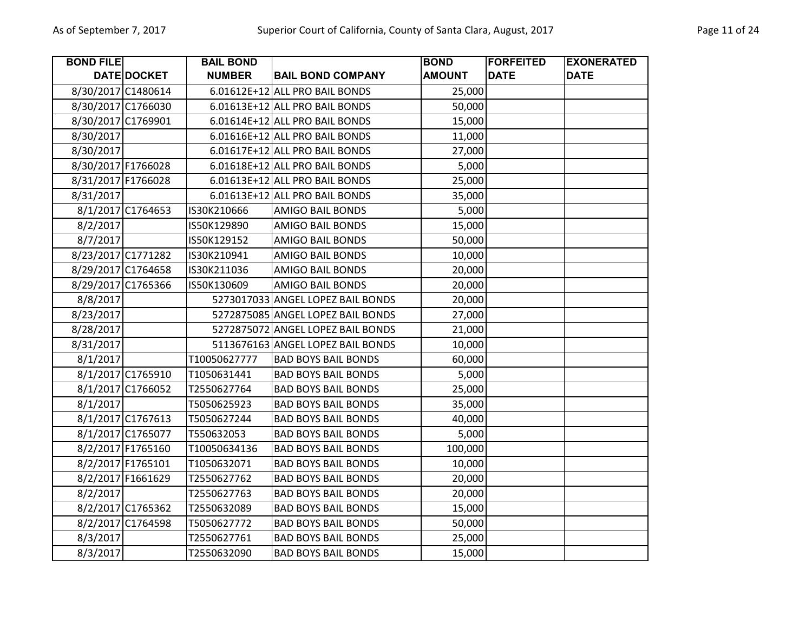| <b>BOND FILE</b>   |                   | <b>BAIL BOND</b> |                                   | <b>BOND</b>   | <b>FORFEITED</b> | <b>EXONERATED</b> |
|--------------------|-------------------|------------------|-----------------------------------|---------------|------------------|-------------------|
|                    | DATE DOCKET       | <b>NUMBER</b>    | <b>BAIL BOND COMPANY</b>          | <b>AMOUNT</b> | <b>DATE</b>      | <b>DATE</b>       |
| 8/30/2017 C1480614 |                   |                  | 6.01612E+12 ALL PRO BAIL BONDS    | 25,000        |                  |                   |
| 8/30/2017 C1766030 |                   |                  | 6.01613E+12 ALL PRO BAIL BONDS    | 50,000        |                  |                   |
| 8/30/2017 C1769901 |                   |                  | 6.01614E+12 ALL PRO BAIL BONDS    | 15,000        |                  |                   |
| 8/30/2017          |                   |                  | 6.01616E+12 ALL PRO BAIL BONDS    | 11,000        |                  |                   |
| 8/30/2017          |                   |                  | 6.01617E+12 ALL PRO BAIL BONDS    | 27,000        |                  |                   |
| 8/30/2017 F1766028 |                   |                  | 6.01618E+12 ALL PRO BAIL BONDS    | 5,000         |                  |                   |
| 8/31/2017 F1766028 |                   |                  | 6.01613E+12 ALL PRO BAIL BONDS    | 25,000        |                  |                   |
| 8/31/2017          |                   |                  | 6.01613E+12 ALL PRO BAIL BONDS    | 35,000        |                  |                   |
|                    | 8/1/2017 C1764653 | IS30K210666      | <b>AMIGO BAIL BONDS</b>           | 5,000         |                  |                   |
| 8/2/2017           |                   | IS50K129890      | <b>AMIGO BAIL BONDS</b>           | 15,000        |                  |                   |
| 8/7/2017           |                   | IS50K129152      | <b>AMIGO BAIL BONDS</b>           | 50,000        |                  |                   |
| 8/23/2017 C1771282 |                   | IS30K210941      | AMIGO BAIL BONDS                  | 10,000        |                  |                   |
| 8/29/2017 C1764658 |                   | IS30K211036      | <b>AMIGO BAIL BONDS</b>           | 20,000        |                  |                   |
| 8/29/2017 C1765366 |                   | IS50K130609      | <b>AMIGO BAIL BONDS</b>           | 20,000        |                  |                   |
| 8/8/2017           |                   |                  | 5273017033 ANGEL LOPEZ BAIL BONDS | 20,000        |                  |                   |
| 8/23/2017          |                   |                  | 5272875085 ANGEL LOPEZ BAIL BONDS | 27,000        |                  |                   |
| 8/28/2017          |                   |                  | 5272875072 ANGEL LOPEZ BAIL BONDS | 21,000        |                  |                   |
| 8/31/2017          |                   |                  | 5113676163 ANGEL LOPEZ BAIL BONDS | 10,000        |                  |                   |
| 8/1/2017           |                   | T10050627777     | <b>BAD BOYS BAIL BONDS</b>        | 60,000        |                  |                   |
|                    | 8/1/2017 C1765910 | T1050631441      | <b>BAD BOYS BAIL BONDS</b>        | 5,000         |                  |                   |
|                    | 8/1/2017 C1766052 | T2550627764      | <b>BAD BOYS BAIL BONDS</b>        | 25,000        |                  |                   |
| 8/1/2017           |                   | T5050625923      | <b>BAD BOYS BAIL BONDS</b>        | 35,000        |                  |                   |
|                    | 8/1/2017 C1767613 | T5050627244      | <b>BAD BOYS BAIL BONDS</b>        | 40,000        |                  |                   |
|                    | 8/1/2017 C1765077 | T550632053       | <b>BAD BOYS BAIL BONDS</b>        | 5,000         |                  |                   |
|                    | 8/2/2017 F1765160 | T10050634136     | <b>BAD BOYS BAIL BONDS</b>        | 100,000       |                  |                   |
|                    | 8/2/2017 F1765101 | T1050632071      | <b>BAD BOYS BAIL BONDS</b>        | 10,000        |                  |                   |
|                    | 8/2/2017 F1661629 | T2550627762      | <b>BAD BOYS BAIL BONDS</b>        | 20,000        |                  |                   |
| 8/2/2017           |                   | T2550627763      | <b>BAD BOYS BAIL BONDS</b>        | 20,000        |                  |                   |
|                    | 8/2/2017 C1765362 | T2550632089      | <b>BAD BOYS BAIL BONDS</b>        | 15,000        |                  |                   |
|                    | 8/2/2017 C1764598 | T5050627772      | <b>BAD BOYS BAIL BONDS</b>        | 50,000        |                  |                   |
| 8/3/2017           |                   | T2550627761      | <b>BAD BOYS BAIL BONDS</b>        | 25,000        |                  |                   |
| 8/3/2017           |                   | T2550632090      | <b>BAD BOYS BAIL BONDS</b>        | 15,000        |                  |                   |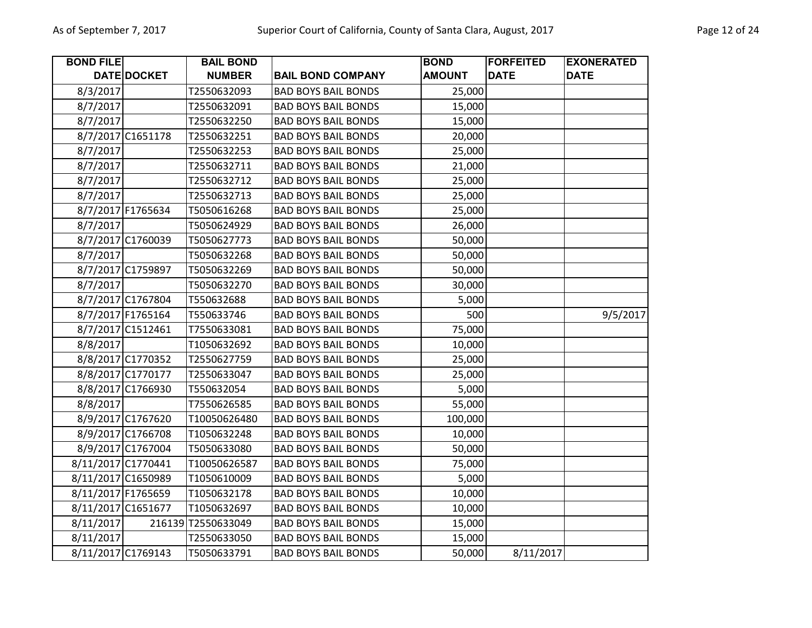| <b>BOND FILE</b>   |                    | <b>BAIL BOND</b>   |                            | <b>BOND</b>   | <b>FORFEITED</b> | <b>EXONERATED</b> |
|--------------------|--------------------|--------------------|----------------------------|---------------|------------------|-------------------|
|                    | DATE DOCKET        | <b>NUMBER</b>      | <b>BAIL BOND COMPANY</b>   | <b>AMOUNT</b> | <b>DATE</b>      | <b>DATE</b>       |
| 8/3/2017           |                    | T2550632093        | <b>BAD BOYS BAIL BONDS</b> | 25,000        |                  |                   |
| 8/7/2017           |                    | T2550632091        | <b>BAD BOYS BAIL BONDS</b> | 15,000        |                  |                   |
| 8/7/2017           |                    | T2550632250        | <b>BAD BOYS BAIL BONDS</b> | 15,000        |                  |                   |
|                    | 8/7/2017 C1651178  | T2550632251        | <b>BAD BOYS BAIL BONDS</b> | 20,000        |                  |                   |
| 8/7/2017           |                    | T2550632253        | <b>BAD BOYS BAIL BONDS</b> | 25,000        |                  |                   |
| 8/7/2017           |                    | T2550632711        | <b>BAD BOYS BAIL BONDS</b> | 21,000        |                  |                   |
| 8/7/2017           |                    | T2550632712        | <b>BAD BOYS BAIL BONDS</b> | 25,000        |                  |                   |
| 8/7/2017           |                    | T2550632713        | <b>BAD BOYS BAIL BONDS</b> | 25,000        |                  |                   |
|                    | 8/7/2017 F1765634  | T5050616268        | <b>BAD BOYS BAIL BONDS</b> | 25,000        |                  |                   |
| 8/7/2017           |                    | T5050624929        | <b>BAD BOYS BAIL BONDS</b> | 26,000        |                  |                   |
|                    | 8/7/2017 C1760039  | T5050627773        | <b>BAD BOYS BAIL BONDS</b> | 50,000        |                  |                   |
| 8/7/2017           |                    | T5050632268        | <b>BAD BOYS BAIL BONDS</b> | 50,000        |                  |                   |
|                    | 8/7/2017 C1759897  | T5050632269        | <b>BAD BOYS BAIL BONDS</b> | 50,000        |                  |                   |
| 8/7/2017           |                    | T5050632270        | <b>BAD BOYS BAIL BONDS</b> | 30,000        |                  |                   |
|                    | 8/7/2017 C1767804  | T550632688         | <b>BAD BOYS BAIL BONDS</b> | 5,000         |                  |                   |
|                    | 8/7/2017 F1765164  | T550633746         | <b>BAD BOYS BAIL BONDS</b> | 500           |                  | 9/5/2017          |
|                    | 8/7/2017 C1512461  | T7550633081        | <b>BAD BOYS BAIL BONDS</b> | 75,000        |                  |                   |
| 8/8/2017           |                    | T1050632692        | <b>BAD BOYS BAIL BONDS</b> | 10,000        |                  |                   |
|                    | 8/8/2017 C1770352  | T2550627759        | <b>BAD BOYS BAIL BONDS</b> | 25,000        |                  |                   |
|                    | 8/8/2017 C1770177  | T2550633047        | <b>BAD BOYS BAIL BONDS</b> | 25,000        |                  |                   |
|                    | 8/8/2017 C1766930  | T550632054         | <b>BAD BOYS BAIL BONDS</b> | 5,000         |                  |                   |
| 8/8/2017           |                    | T7550626585        | <b>BAD BOYS BAIL BONDS</b> | 55,000        |                  |                   |
|                    | 8/9/2017 C1767620  | T10050626480       | <b>BAD BOYS BAIL BONDS</b> | 100,000       |                  |                   |
|                    | 8/9/2017 C1766708  | T1050632248        | <b>BAD BOYS BAIL BONDS</b> | 10,000        |                  |                   |
|                    | 8/9/2017 C1767004  | T5050633080        | <b>BAD BOYS BAIL BONDS</b> | 50,000        |                  |                   |
|                    | 8/11/2017 C1770441 | T10050626587       | <b>BAD BOYS BAIL BONDS</b> | 75,000        |                  |                   |
| 8/11/2017 C1650989 |                    | T1050610009        | <b>BAD BOYS BAIL BONDS</b> | 5,000         |                  |                   |
| 8/11/2017 F1765659 |                    | T1050632178        | <b>BAD BOYS BAIL BONDS</b> | 10,000        |                  |                   |
| 8/11/2017 C1651677 |                    | T1050632697        | <b>BAD BOYS BAIL BONDS</b> | 10,000        |                  |                   |
| 8/11/2017          |                    | 216139 72550633049 | <b>BAD BOYS BAIL BONDS</b> | 15,000        |                  |                   |
| 8/11/2017          |                    | T2550633050        | <b>BAD BOYS BAIL BONDS</b> | 15,000        |                  |                   |
| 8/11/2017 C1769143 |                    | T5050633791        | <b>BAD BOYS BAIL BONDS</b> | 50,000        | 8/11/2017        |                   |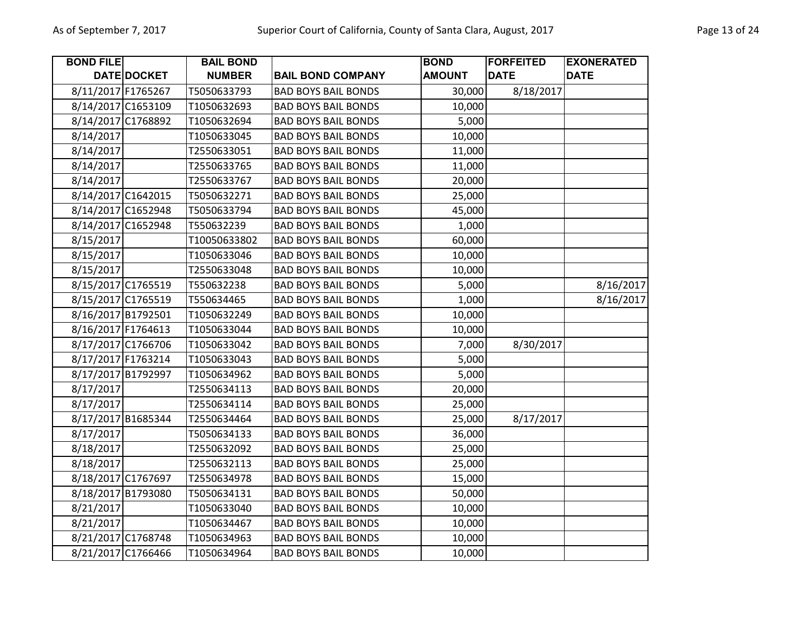| <b>BOND FILE</b>   |             | <b>BAIL BOND</b> |                            | <b>BOND</b>   | <b>FORFEITED</b> | <b>EXONERATED</b> |
|--------------------|-------------|------------------|----------------------------|---------------|------------------|-------------------|
|                    | DATE DOCKET | <b>NUMBER</b>    | <b>BAIL BOND COMPANY</b>   | <b>AMOUNT</b> | <b>DATE</b>      | <b>DATE</b>       |
| 8/11/2017 F1765267 |             | T5050633793      | <b>BAD BOYS BAIL BONDS</b> | 30,000        | 8/18/2017        |                   |
| 8/14/2017 C1653109 |             | T1050632693      | <b>BAD BOYS BAIL BONDS</b> | 10,000        |                  |                   |
| 8/14/2017 C1768892 |             | T1050632694      | <b>BAD BOYS BAIL BONDS</b> | 5,000         |                  |                   |
| 8/14/2017          |             | T1050633045      | <b>BAD BOYS BAIL BONDS</b> | 10,000        |                  |                   |
| 8/14/2017          |             | T2550633051      | <b>BAD BOYS BAIL BONDS</b> | 11,000        |                  |                   |
| 8/14/2017          |             | T2550633765      | <b>BAD BOYS BAIL BONDS</b> | 11,000        |                  |                   |
| 8/14/2017          |             | T2550633767      | <b>BAD BOYS BAIL BONDS</b> | 20,000        |                  |                   |
| 8/14/2017 C1642015 |             | T5050632271      | <b>BAD BOYS BAIL BONDS</b> | 25,000        |                  |                   |
| 8/14/2017 C1652948 |             | T5050633794      | <b>BAD BOYS BAIL BONDS</b> | 45,000        |                  |                   |
| 8/14/2017 C1652948 |             | T550632239       | <b>BAD BOYS BAIL BONDS</b> | 1,000         |                  |                   |
| 8/15/2017          |             | T10050633802     | <b>BAD BOYS BAIL BONDS</b> | 60,000        |                  |                   |
| 8/15/2017          |             | T1050633046      | <b>BAD BOYS BAIL BONDS</b> | 10,000        |                  |                   |
| 8/15/2017          |             | T2550633048      | <b>BAD BOYS BAIL BONDS</b> | 10,000        |                  |                   |
| 8/15/2017 C1765519 |             | T550632238       | <b>BAD BOYS BAIL BONDS</b> | 5,000         |                  | 8/16/2017         |
| 8/15/2017 C1765519 |             | T550634465       | <b>BAD BOYS BAIL BONDS</b> | 1,000         |                  | 8/16/2017         |
| 8/16/2017 B1792501 |             | T1050632249      | <b>BAD BOYS BAIL BONDS</b> | 10,000        |                  |                   |
| 8/16/2017 F1764613 |             | T1050633044      | <b>BAD BOYS BAIL BONDS</b> | 10,000        |                  |                   |
| 8/17/2017 C1766706 |             | T1050633042      | <b>BAD BOYS BAIL BONDS</b> | 7,000         | 8/30/2017        |                   |
| 8/17/2017 F1763214 |             | T1050633043      | <b>BAD BOYS BAIL BONDS</b> | 5,000         |                  |                   |
| 8/17/2017 B1792997 |             | T1050634962      | <b>BAD BOYS BAIL BONDS</b> | 5,000         |                  |                   |
| 8/17/2017          |             | T2550634113      | <b>BAD BOYS BAIL BONDS</b> | 20,000        |                  |                   |
| 8/17/2017          |             | T2550634114      | <b>BAD BOYS BAIL BONDS</b> | 25,000        |                  |                   |
| 8/17/2017 B1685344 |             | T2550634464      | <b>BAD BOYS BAIL BONDS</b> | 25,000        | 8/17/2017        |                   |
| 8/17/2017          |             | T5050634133      | <b>BAD BOYS BAIL BONDS</b> | 36,000        |                  |                   |
| 8/18/2017          |             | T2550632092      | <b>BAD BOYS BAIL BONDS</b> | 25,000        |                  |                   |
| 8/18/2017          |             | T2550632113      | <b>BAD BOYS BAIL BONDS</b> | 25,000        |                  |                   |
| 8/18/2017 C1767697 |             | T2550634978      | <b>BAD BOYS BAIL BONDS</b> | 15,000        |                  |                   |
| 8/18/2017 B1793080 |             | T5050634131      | <b>BAD BOYS BAIL BONDS</b> | 50,000        |                  |                   |
| 8/21/2017          |             | T1050633040      | <b>BAD BOYS BAIL BONDS</b> | 10,000        |                  |                   |
| 8/21/2017          |             | T1050634467      | <b>BAD BOYS BAIL BONDS</b> | 10,000        |                  |                   |
| 8/21/2017 C1768748 |             | T1050634963      | <b>BAD BOYS BAIL BONDS</b> | 10,000        |                  |                   |
| 8/21/2017 C1766466 |             | T1050634964      | <b>BAD BOYS BAIL BONDS</b> | 10,000        |                  |                   |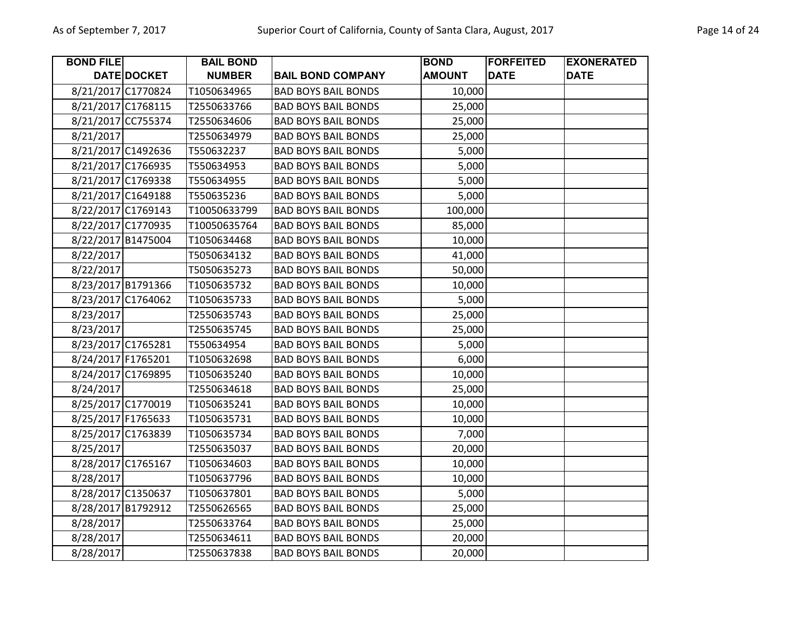| <b>BOND FILE</b>   |             | <b>BAIL BOND</b> |                            | <b>BOND</b>   | <b>FORFEITED</b> | <b>EXONERATED</b> |
|--------------------|-------------|------------------|----------------------------|---------------|------------------|-------------------|
|                    | DATE DOCKET | <b>NUMBER</b>    | <b>BAIL BOND COMPANY</b>   | <b>AMOUNT</b> | <b>DATE</b>      | <b>DATE</b>       |
| 8/21/2017 C1770824 |             | T1050634965      | <b>BAD BOYS BAIL BONDS</b> | 10,000        |                  |                   |
| 8/21/2017 C1768115 |             | T2550633766      | <b>BAD BOYS BAIL BONDS</b> | 25,000        |                  |                   |
| 8/21/2017 CC755374 |             | T2550634606      | <b>BAD BOYS BAIL BONDS</b> | 25,000        |                  |                   |
| 8/21/2017          |             | T2550634979      | <b>BAD BOYS BAIL BONDS</b> | 25,000        |                  |                   |
| 8/21/2017 C1492636 |             | T550632237       | <b>BAD BOYS BAIL BONDS</b> | 5,000         |                  |                   |
| 8/21/2017 C1766935 |             | T550634953       | <b>BAD BOYS BAIL BONDS</b> | 5,000         |                  |                   |
| 8/21/2017 C1769338 |             | T550634955       | <b>BAD BOYS BAIL BONDS</b> | 5,000         |                  |                   |
| 8/21/2017 C1649188 |             | T550635236       | <b>BAD BOYS BAIL BONDS</b> | 5,000         |                  |                   |
| 8/22/2017 C1769143 |             | T10050633799     | <b>BAD BOYS BAIL BONDS</b> | 100,000       |                  |                   |
| 8/22/2017 C1770935 |             | T10050635764     | <b>BAD BOYS BAIL BONDS</b> | 85,000        |                  |                   |
| 8/22/2017 B1475004 |             | T1050634468      | <b>BAD BOYS BAIL BONDS</b> | 10,000        |                  |                   |
| 8/22/2017          |             | T5050634132      | <b>BAD BOYS BAIL BONDS</b> | 41,000        |                  |                   |
| 8/22/2017          |             | T5050635273      | <b>BAD BOYS BAIL BONDS</b> | 50,000        |                  |                   |
| 8/23/2017 B1791366 |             | T1050635732      | <b>BAD BOYS BAIL BONDS</b> | 10,000        |                  |                   |
| 8/23/2017 C1764062 |             | T1050635733      | <b>BAD BOYS BAIL BONDS</b> | 5,000         |                  |                   |
| 8/23/2017          |             | T2550635743      | <b>BAD BOYS BAIL BONDS</b> | 25,000        |                  |                   |
| 8/23/2017          |             | T2550635745      | <b>BAD BOYS BAIL BONDS</b> | 25,000        |                  |                   |
| 8/23/2017 C1765281 |             | T550634954       | <b>BAD BOYS BAIL BONDS</b> | 5,000         |                  |                   |
| 8/24/2017 F1765201 |             | T1050632698      | <b>BAD BOYS BAIL BONDS</b> | 6,000         |                  |                   |
| 8/24/2017 C1769895 |             | T1050635240      | <b>BAD BOYS BAIL BONDS</b> | 10,000        |                  |                   |
| 8/24/2017          |             | T2550634618      | <b>BAD BOYS BAIL BONDS</b> | 25,000        |                  |                   |
| 8/25/2017 C1770019 |             | T1050635241      | <b>BAD BOYS BAIL BONDS</b> | 10,000        |                  |                   |
| 8/25/2017 F1765633 |             | T1050635731      | <b>BAD BOYS BAIL BONDS</b> | 10,000        |                  |                   |
| 8/25/2017 C1763839 |             | T1050635734      | <b>BAD BOYS BAIL BONDS</b> | 7,000         |                  |                   |
| 8/25/2017          |             | T2550635037      | <b>BAD BOYS BAIL BONDS</b> | 20,000        |                  |                   |
| 8/28/2017 C1765167 |             | T1050634603      | <b>BAD BOYS BAIL BONDS</b> | 10,000        |                  |                   |
| 8/28/2017          |             | T1050637796      | <b>BAD BOYS BAIL BONDS</b> | 10,000        |                  |                   |
| 8/28/2017 C1350637 |             | T1050637801      | <b>BAD BOYS BAIL BONDS</b> | 5,000         |                  |                   |
| 8/28/2017 B1792912 |             | T2550626565      | <b>BAD BOYS BAIL BONDS</b> | 25,000        |                  |                   |
| 8/28/2017          |             | T2550633764      | <b>BAD BOYS BAIL BONDS</b> | 25,000        |                  |                   |
| 8/28/2017          |             | T2550634611      | <b>BAD BOYS BAIL BONDS</b> | 20,000        |                  |                   |
| 8/28/2017          |             | T2550637838      | <b>BAD BOYS BAIL BONDS</b> | 20,000        |                  |                   |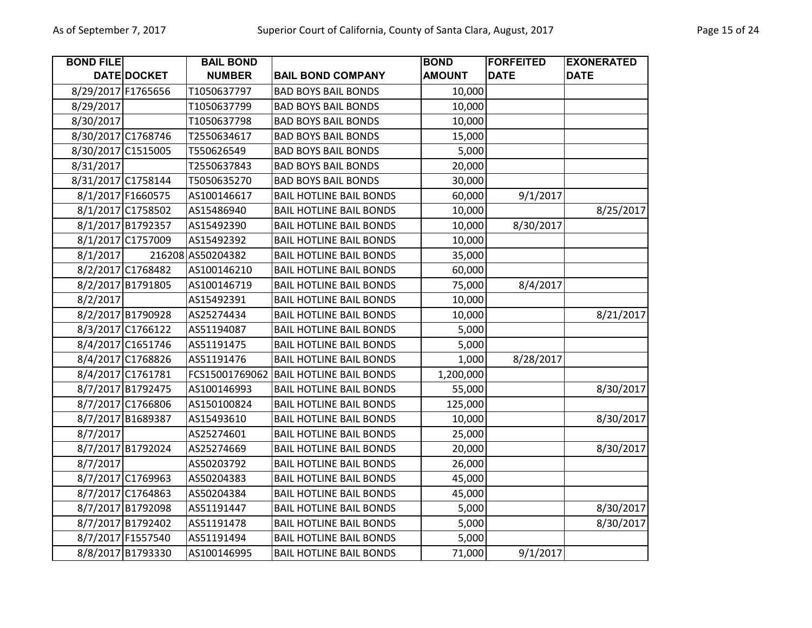| <b>BOND FILE</b>   |                    | <b>BAIL BOND</b>  |                                | <b>BOND</b>   | <b>FORFEITED</b> | <b>EXONERATED</b> |
|--------------------|--------------------|-------------------|--------------------------------|---------------|------------------|-------------------|
|                    | DATE DOCKET        | <b>NUMBER</b>     | <b>BAIL BOND COMPANY</b>       | <b>AMOUNT</b> | <b>DATE</b>      | <b>DATE</b>       |
| 8/29/2017 F1765656 |                    | T1050637797       | <b>BAD BOYS BAIL BONDS</b>     | 10,000        |                  |                   |
| 8/29/2017          |                    | T1050637799       | <b>BAD BOYS BAIL BONDS</b>     | 10,000        |                  |                   |
| 8/30/2017          |                    | T1050637798       | <b>BAD BOYS BAIL BONDS</b>     | 10,000        |                  |                   |
| 8/30/2017 C1768746 |                    | T2550634617       | <b>BAD BOYS BAIL BONDS</b>     | 15,000        |                  |                   |
|                    | 8/30/2017 C1515005 | T550626549        | <b>BAD BOYS BAIL BONDS</b>     | 5,000         |                  |                   |
| 8/31/2017          |                    | T2550637843       | <b>BAD BOYS BAIL BONDS</b>     | 20,000        |                  |                   |
| 8/31/2017 C1758144 |                    | T5050635270       | <b>BAD BOYS BAIL BONDS</b>     | 30,000        |                  |                   |
|                    | 8/1/2017 F1660575  | AS100146617       | <b>BAIL HOTLINE BAIL BONDS</b> | 60,000        | 9/1/2017         |                   |
|                    | 8/1/2017 C1758502  | AS15486940        | <b>BAIL HOTLINE BAIL BONDS</b> | 10,000        |                  | 8/25/2017         |
|                    | 8/1/2017 B1792357  | AS15492390        | <b>BAIL HOTLINE BAIL BONDS</b> | 10,000        | 8/30/2017        |                   |
|                    | 8/1/2017 C1757009  | AS15492392        | <b>BAIL HOTLINE BAIL BONDS</b> | 10,000        |                  |                   |
| 8/1/2017           |                    | 216208 AS50204382 | <b>BAIL HOTLINE BAIL BONDS</b> | 35,000        |                  |                   |
|                    | 8/2/2017 C1768482  | AS100146210       | <b>BAIL HOTLINE BAIL BONDS</b> | 60,000        |                  |                   |
|                    | 8/2/2017 B1791805  | AS100146719       | <b>BAIL HOTLINE BAIL BONDS</b> | 75,000        | 8/4/2017         |                   |
| 8/2/2017           |                    | AS15492391        | <b>BAIL HOTLINE BAIL BONDS</b> | 10,000        |                  |                   |
|                    | 8/2/2017 B1790928  | AS25274434        | <b>BAIL HOTLINE BAIL BONDS</b> | 10,000        |                  | 8/21/2017         |
|                    | 8/3/2017 C1766122  | AS51194087        | <b>BAIL HOTLINE BAIL BONDS</b> | 5,000         |                  |                   |
|                    | 8/4/2017 C1651746  | AS51191475        | <b>BAIL HOTLINE BAIL BONDS</b> | 5,000         |                  |                   |
|                    | 8/4/2017 C1768826  | AS51191476        | <b>BAIL HOTLINE BAIL BONDS</b> | 1,000         | 8/28/2017        |                   |
|                    | 8/4/2017 C1761781  | FCS15001769062    | <b>BAIL HOTLINE BAIL BONDS</b> | 1,200,000     |                  |                   |
|                    | 8/7/2017 B1792475  | AS100146993       | <b>BAIL HOTLINE BAIL BONDS</b> | 55,000        |                  | 8/30/2017         |
|                    | 8/7/2017 C1766806  | AS150100824       | <b>BAIL HOTLINE BAIL BONDS</b> | 125,000       |                  |                   |
|                    | 8/7/2017 B1689387  | AS15493610        | <b>BAIL HOTLINE BAIL BONDS</b> | 10,000        |                  | 8/30/2017         |
| 8/7/2017           |                    | AS25274601        | <b>BAIL HOTLINE BAIL BONDS</b> | 25,000        |                  |                   |
|                    | 8/7/2017 B1792024  | AS25274669        | <b>BAIL HOTLINE BAIL BONDS</b> | 20,000        |                  | 8/30/2017         |
| 8/7/2017           |                    | AS50203792        | <b>BAIL HOTLINE BAIL BONDS</b> | 26,000        |                  |                   |
|                    | 8/7/2017 C1769963  | AS50204383        | <b>BAIL HOTLINE BAIL BONDS</b> | 45,000        |                  |                   |
|                    | 8/7/2017 C1764863  | AS50204384        | <b>BAIL HOTLINE BAIL BONDS</b> | 45,000        |                  |                   |
|                    | 8/7/2017 B1792098  | AS51191447        | <b>BAIL HOTLINE BAIL BONDS</b> | 5,000         |                  | 8/30/2017         |
|                    | 8/7/2017 B1792402  | AS51191478        | <b>BAIL HOTLINE BAIL BONDS</b> | 5,000         |                  | 8/30/2017         |
|                    | 8/7/2017 F1557540  | AS51191494        | <b>BAIL HOTLINE BAIL BONDS</b> | 5,000         |                  |                   |
|                    | 8/8/2017 B1793330  | AS100146995       | <b>BAIL HOTLINE BAIL BONDS</b> | 71,000        | 9/1/2017         |                   |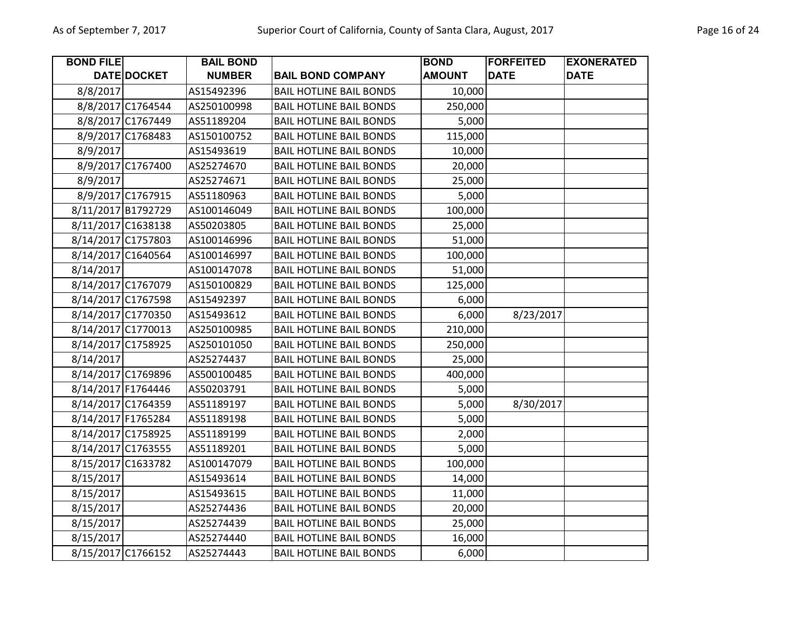| <b>BOND FILE</b>   |                   | <b>BAIL BOND</b> |                                | <b>BOND</b>   | <b>FORFEITED</b> | <b>EXONERATED</b> |
|--------------------|-------------------|------------------|--------------------------------|---------------|------------------|-------------------|
|                    | DATE DOCKET       | <b>NUMBER</b>    | <b>BAIL BOND COMPANY</b>       | <b>AMOUNT</b> | <b>DATE</b>      | <b>DATE</b>       |
| 8/8/2017           |                   | AS15492396       | <b>BAIL HOTLINE BAIL BONDS</b> | 10,000        |                  |                   |
|                    | 8/8/2017 C1764544 | AS250100998      | <b>BAIL HOTLINE BAIL BONDS</b> | 250,000       |                  |                   |
|                    | 8/8/2017 C1767449 | AS51189204       | <b>BAIL HOTLINE BAIL BONDS</b> | 5,000         |                  |                   |
|                    | 8/9/2017 C1768483 | AS150100752      | <b>BAIL HOTLINE BAIL BONDS</b> | 115,000       |                  |                   |
| 8/9/2017           |                   | AS15493619       | <b>BAIL HOTLINE BAIL BONDS</b> | 10,000        |                  |                   |
|                    | 8/9/2017 C1767400 | AS25274670       | <b>BAIL HOTLINE BAIL BONDS</b> | 20,000        |                  |                   |
| 8/9/2017           |                   | AS25274671       | <b>BAIL HOTLINE BAIL BONDS</b> | 25,000        |                  |                   |
|                    | 8/9/2017 C1767915 | AS51180963       | <b>BAIL HOTLINE BAIL BONDS</b> | 5,000         |                  |                   |
| 8/11/2017 B1792729 |                   | AS100146049      | <b>BAIL HOTLINE BAIL BONDS</b> | 100,000       |                  |                   |
| 8/11/2017 C1638138 |                   | AS50203805       | <b>BAIL HOTLINE BAIL BONDS</b> | 25,000        |                  |                   |
| 8/14/2017 C1757803 |                   | AS100146996      | <b>BAIL HOTLINE BAIL BONDS</b> | 51,000        |                  |                   |
| 8/14/2017 C1640564 |                   | AS100146997      | <b>BAIL HOTLINE BAIL BONDS</b> | 100,000       |                  |                   |
| 8/14/2017          |                   | AS100147078      | <b>BAIL HOTLINE BAIL BONDS</b> | 51,000        |                  |                   |
| 8/14/2017 C1767079 |                   | AS150100829      | <b>BAIL HOTLINE BAIL BONDS</b> | 125,000       |                  |                   |
| 8/14/2017 C1767598 |                   | AS15492397       | <b>BAIL HOTLINE BAIL BONDS</b> | 6,000         |                  |                   |
| 8/14/2017 C1770350 |                   | AS15493612       | <b>BAIL HOTLINE BAIL BONDS</b> | 6,000         | 8/23/2017        |                   |
| 8/14/2017 C1770013 |                   | AS250100985      | <b>BAIL HOTLINE BAIL BONDS</b> | 210,000       |                  |                   |
| 8/14/2017 C1758925 |                   | AS250101050      | <b>BAIL HOTLINE BAIL BONDS</b> | 250,000       |                  |                   |
| 8/14/2017          |                   | AS25274437       | <b>BAIL HOTLINE BAIL BONDS</b> | 25,000        |                  |                   |
| 8/14/2017 C1769896 |                   | AS500100485      | <b>BAIL HOTLINE BAIL BONDS</b> | 400,000       |                  |                   |
| 8/14/2017 F1764446 |                   | AS50203791       | <b>BAIL HOTLINE BAIL BONDS</b> | 5,000         |                  |                   |
| 8/14/2017 C1764359 |                   | AS51189197       | <b>BAIL HOTLINE BAIL BONDS</b> | 5,000         | 8/30/2017        |                   |
| 8/14/2017 F1765284 |                   | AS51189198       | <b>BAIL HOTLINE BAIL BONDS</b> | 5,000         |                  |                   |
| 8/14/2017 C1758925 |                   | AS51189199       | <b>BAIL HOTLINE BAIL BONDS</b> | 2,000         |                  |                   |
| 8/14/2017 C1763555 |                   | AS51189201       | <b>BAIL HOTLINE BAIL BONDS</b> | 5,000         |                  |                   |
| 8/15/2017 C1633782 |                   | AS100147079      | <b>BAIL HOTLINE BAIL BONDS</b> | 100,000       |                  |                   |
| 8/15/2017          |                   | AS15493614       | <b>BAIL HOTLINE BAIL BONDS</b> | 14,000        |                  |                   |
| 8/15/2017          |                   | AS15493615       | <b>BAIL HOTLINE BAIL BONDS</b> | 11,000        |                  |                   |
| 8/15/2017          |                   | AS25274436       | <b>BAIL HOTLINE BAIL BONDS</b> | 20,000        |                  |                   |
| 8/15/2017          |                   | AS25274439       | <b>BAIL HOTLINE BAIL BONDS</b> | 25,000        |                  |                   |
| 8/15/2017          |                   | AS25274440       | <b>BAIL HOTLINE BAIL BONDS</b> | 16,000        |                  |                   |
| 8/15/2017 C1766152 |                   | AS25274443       | <b>BAIL HOTLINE BAIL BONDS</b> | 6,000         |                  |                   |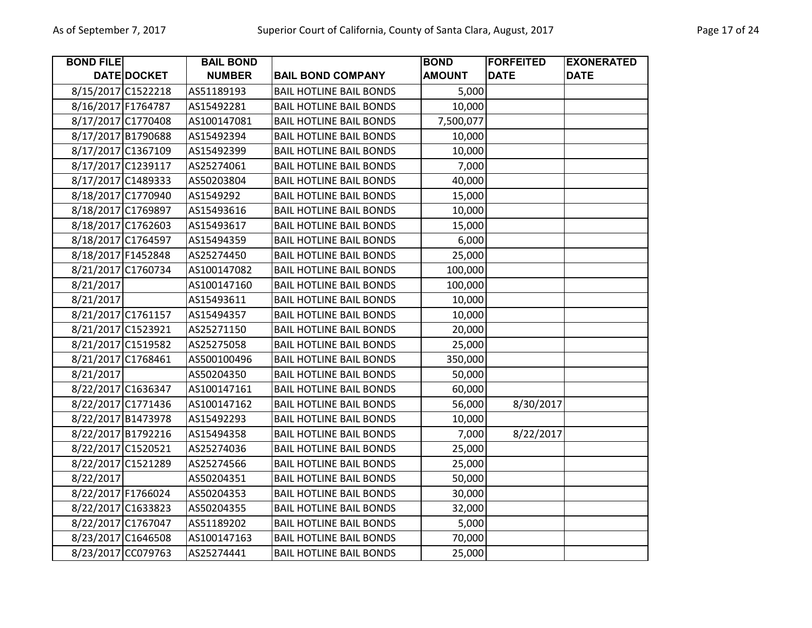| <b>BOND FILE</b>   |                    | <b>BAIL BOND</b> |                                | <b>BOND</b>   | <b>FORFEITED</b> | <b>EXONERATED</b> |
|--------------------|--------------------|------------------|--------------------------------|---------------|------------------|-------------------|
|                    | <b>DATE DOCKET</b> | <b>NUMBER</b>    | <b>BAIL BOND COMPANY</b>       | <b>AMOUNT</b> | <b>DATE</b>      | <b>DATE</b>       |
| 8/15/2017 C1522218 |                    | AS51189193       | <b>BAIL HOTLINE BAIL BONDS</b> | 5,000         |                  |                   |
| 8/16/2017 F1764787 |                    | AS15492281       | <b>BAIL HOTLINE BAIL BONDS</b> | 10,000        |                  |                   |
| 8/17/2017 C1770408 |                    | AS100147081      | <b>BAIL HOTLINE BAIL BONDS</b> | 7,500,077     |                  |                   |
| 8/17/2017 B1790688 |                    | AS15492394       | <b>BAIL HOTLINE BAIL BONDS</b> | 10,000        |                  |                   |
| 8/17/2017 C1367109 |                    | AS15492399       | <b>BAIL HOTLINE BAIL BONDS</b> | 10,000        |                  |                   |
| 8/17/2017 C1239117 |                    | AS25274061       | <b>BAIL HOTLINE BAIL BONDS</b> | 7,000         |                  |                   |
| 8/17/2017 C1489333 |                    | AS50203804       | <b>BAIL HOTLINE BAIL BONDS</b> | 40,000        |                  |                   |
| 8/18/2017 C1770940 |                    | AS1549292        | <b>BAIL HOTLINE BAIL BONDS</b> | 15,000        |                  |                   |
| 8/18/2017 C1769897 |                    | AS15493616       | <b>BAIL HOTLINE BAIL BONDS</b> | 10,000        |                  |                   |
| 8/18/2017 C1762603 |                    | AS15493617       | <b>BAIL HOTLINE BAIL BONDS</b> | 15,000        |                  |                   |
| 8/18/2017 C1764597 |                    | AS15494359       | <b>BAIL HOTLINE BAIL BONDS</b> | 6,000         |                  |                   |
| 8/18/2017 F1452848 |                    | AS25274450       | <b>BAIL HOTLINE BAIL BONDS</b> | 25,000        |                  |                   |
| 8/21/2017 C1760734 |                    | AS100147082      | <b>BAIL HOTLINE BAIL BONDS</b> | 100,000       |                  |                   |
| 8/21/2017          |                    | AS100147160      | <b>BAIL HOTLINE BAIL BONDS</b> | 100,000       |                  |                   |
| 8/21/2017          |                    | AS15493611       | <b>BAIL HOTLINE BAIL BONDS</b> | 10,000        |                  |                   |
| 8/21/2017 C1761157 |                    | AS15494357       | <b>BAIL HOTLINE BAIL BONDS</b> | 10,000        |                  |                   |
| 8/21/2017 C1523921 |                    | AS25271150       | <b>BAIL HOTLINE BAIL BONDS</b> | 20,000        |                  |                   |
| 8/21/2017 C1519582 |                    | AS25275058       | <b>BAIL HOTLINE BAIL BONDS</b> | 25,000        |                  |                   |
| 8/21/2017 C1768461 |                    | AS500100496      | <b>BAIL HOTLINE BAIL BONDS</b> | 350,000       |                  |                   |
| 8/21/2017          |                    | AS50204350       | <b>BAIL HOTLINE BAIL BONDS</b> | 50,000        |                  |                   |
| 8/22/2017 C1636347 |                    | AS100147161      | <b>BAIL HOTLINE BAIL BONDS</b> | 60,000        |                  |                   |
| 8/22/2017 C1771436 |                    | AS100147162      | <b>BAIL HOTLINE BAIL BONDS</b> | 56,000        | 8/30/2017        |                   |
| 8/22/2017 B1473978 |                    | AS15492293       | <b>BAIL HOTLINE BAIL BONDS</b> | 10,000        |                  |                   |
| 8/22/2017 B1792216 |                    | AS15494358       | <b>BAIL HOTLINE BAIL BONDS</b> | 7,000         | 8/22/2017        |                   |
| 8/22/2017 C1520521 |                    | AS25274036       | <b>BAIL HOTLINE BAIL BONDS</b> | 25,000        |                  |                   |
| 8/22/2017 C1521289 |                    | AS25274566       | <b>BAIL HOTLINE BAIL BONDS</b> | 25,000        |                  |                   |
| 8/22/2017          |                    | AS50204351       | <b>BAIL HOTLINE BAIL BONDS</b> | 50,000        |                  |                   |
| 8/22/2017 F1766024 |                    | AS50204353       | <b>BAIL HOTLINE BAIL BONDS</b> | 30,000        |                  |                   |
| 8/22/2017 C1633823 |                    | AS50204355       | <b>BAIL HOTLINE BAIL BONDS</b> | 32,000        |                  |                   |
| 8/22/2017 C1767047 |                    | AS51189202       | <b>BAIL HOTLINE BAIL BONDS</b> | 5,000         |                  |                   |
| 8/23/2017 C1646508 |                    | AS100147163      | <b>BAIL HOTLINE BAIL BONDS</b> | 70,000        |                  |                   |
| 8/23/2017 CC079763 |                    | AS25274441       | <b>BAIL HOTLINE BAIL BONDS</b> | 25,000        |                  |                   |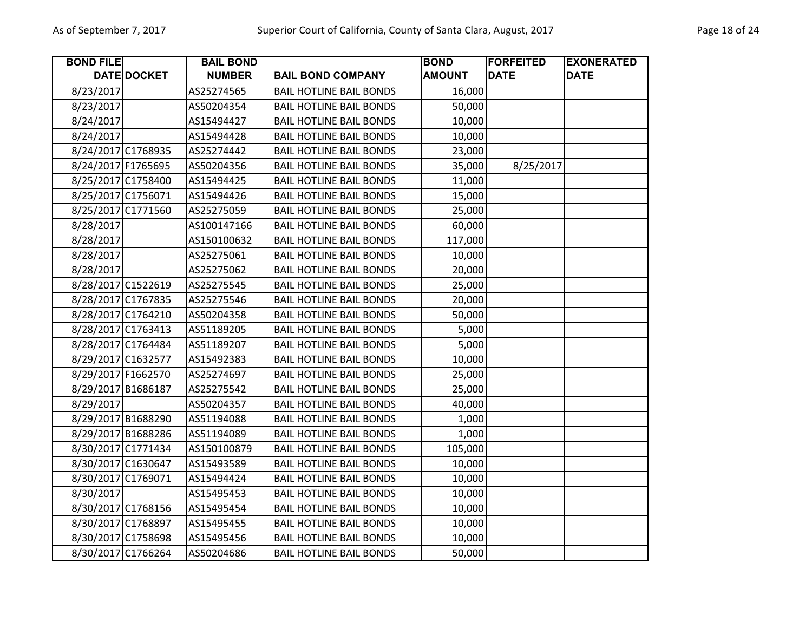| <b>BOND FILE</b>   |                    | <b>BAIL BOND</b> |                                | <b>BOND</b>   | <b>FORFEITED</b> | <b>EXONERATED</b> |
|--------------------|--------------------|------------------|--------------------------------|---------------|------------------|-------------------|
|                    | DATE DOCKET        | <b>NUMBER</b>    | <b>BAIL BOND COMPANY</b>       | <b>AMOUNT</b> | <b>DATE</b>      | <b>DATE</b>       |
| 8/23/2017          |                    | AS25274565       | <b>BAIL HOTLINE BAIL BONDS</b> | 16,000        |                  |                   |
| 8/23/2017          |                    | AS50204354       | <b>BAIL HOTLINE BAIL BONDS</b> | 50,000        |                  |                   |
| 8/24/2017          |                    | AS15494427       | <b>BAIL HOTLINE BAIL BONDS</b> | 10,000        |                  |                   |
| 8/24/2017          |                    | AS15494428       | <b>BAIL HOTLINE BAIL BONDS</b> | 10,000        |                  |                   |
| 8/24/2017 C1768935 |                    | AS25274442       | <b>BAIL HOTLINE BAIL BONDS</b> | 23,000        |                  |                   |
| 8/24/2017 F1765695 |                    | AS50204356       | <b>BAIL HOTLINE BAIL BONDS</b> | 35,000        | 8/25/2017        |                   |
| 8/25/2017 C1758400 |                    | AS15494425       | <b>BAIL HOTLINE BAIL BONDS</b> | 11,000        |                  |                   |
| 8/25/2017 C1756071 |                    | AS15494426       | <b>BAIL HOTLINE BAIL BONDS</b> | 15,000        |                  |                   |
| 8/25/2017 C1771560 |                    | AS25275059       | <b>BAIL HOTLINE BAIL BONDS</b> | 25,000        |                  |                   |
| 8/28/2017          |                    | AS100147166      | <b>BAIL HOTLINE BAIL BONDS</b> | 60,000        |                  |                   |
| 8/28/2017          |                    | AS150100632      | <b>BAIL HOTLINE BAIL BONDS</b> | 117,000       |                  |                   |
| 8/28/2017          |                    | AS25275061       | <b>BAIL HOTLINE BAIL BONDS</b> | 10,000        |                  |                   |
| 8/28/2017          |                    | AS25275062       | <b>BAIL HOTLINE BAIL BONDS</b> | 20,000        |                  |                   |
| 8/28/2017 C1522619 |                    | AS25275545       | <b>BAIL HOTLINE BAIL BONDS</b> | 25,000        |                  |                   |
| 8/28/2017 C1767835 |                    | AS25275546       | <b>BAIL HOTLINE BAIL BONDS</b> | 20,000        |                  |                   |
| 8/28/2017 C1764210 |                    | AS50204358       | <b>BAIL HOTLINE BAIL BONDS</b> | 50,000        |                  |                   |
| 8/28/2017 C1763413 |                    | AS51189205       | <b>BAIL HOTLINE BAIL BONDS</b> | 5,000         |                  |                   |
| 8/28/2017 C1764484 |                    | AS51189207       | <b>BAIL HOTLINE BAIL BONDS</b> | 5,000         |                  |                   |
| 8/29/2017 C1632577 |                    | AS15492383       | <b>BAIL HOTLINE BAIL BONDS</b> | 10,000        |                  |                   |
| 8/29/2017 F1662570 |                    | AS25274697       | <b>BAIL HOTLINE BAIL BONDS</b> | 25,000        |                  |                   |
| 8/29/2017 B1686187 |                    | AS25275542       | <b>BAIL HOTLINE BAIL BONDS</b> | 25,000        |                  |                   |
| 8/29/2017          |                    | AS50204357       | <b>BAIL HOTLINE BAIL BONDS</b> | 40,000        |                  |                   |
|                    | 8/29/2017 B1688290 | AS51194088       | <b>BAIL HOTLINE BAIL BONDS</b> | 1,000         |                  |                   |
| 8/29/2017 B1688286 |                    | AS51194089       | <b>BAIL HOTLINE BAIL BONDS</b> | 1,000         |                  |                   |
| 8/30/2017 C1771434 |                    | AS150100879      | <b>BAIL HOTLINE BAIL BONDS</b> | 105,000       |                  |                   |
| 8/30/2017 C1630647 |                    | AS15493589       | <b>BAIL HOTLINE BAIL BONDS</b> | 10,000        |                  |                   |
| 8/30/2017 C1769071 |                    | AS15494424       | <b>BAIL HOTLINE BAIL BONDS</b> | 10,000        |                  |                   |
| 8/30/2017          |                    | AS15495453       | <b>BAIL HOTLINE BAIL BONDS</b> | 10,000        |                  |                   |
| 8/30/2017 C1768156 |                    | AS15495454       | <b>BAIL HOTLINE BAIL BONDS</b> | 10,000        |                  |                   |
| 8/30/2017 C1768897 |                    | AS15495455       | <b>BAIL HOTLINE BAIL BONDS</b> | 10,000        |                  |                   |
| 8/30/2017 C1758698 |                    | AS15495456       | <b>BAIL HOTLINE BAIL BONDS</b> | 10,000        |                  |                   |
| 8/30/2017 C1766264 |                    | AS50204686       | <b>BAIL HOTLINE BAIL BONDS</b> | 50,000        |                  |                   |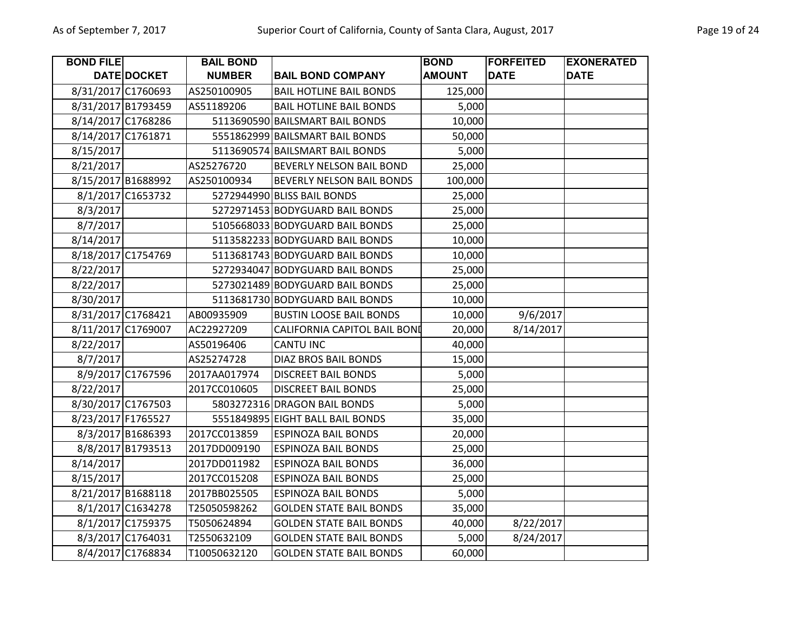| <b>BOND FILE</b>   |                    | <b>BAIL BOND</b> |                                  | <b>BOND</b>   | <b>FORFEITED</b> | <b>EXONERATED</b> |
|--------------------|--------------------|------------------|----------------------------------|---------------|------------------|-------------------|
|                    | <b>DATE DOCKET</b> | <b>NUMBER</b>    | <b>BAIL BOND COMPANY</b>         | <b>AMOUNT</b> | <b>DATE</b>      | <b>DATE</b>       |
| 8/31/2017 C1760693 |                    | AS250100905      | <b>BAIL HOTLINE BAIL BONDS</b>   | 125,000       |                  |                   |
| 8/31/2017 B1793459 |                    | AS51189206       | <b>BAIL HOTLINE BAIL BONDS</b>   | 5,000         |                  |                   |
| 8/14/2017 C1768286 |                    |                  | 5113690590 BAILSMART BAIL BONDS  | 10,000        |                  |                   |
| 8/14/2017 C1761871 |                    |                  | 5551862999 BAILSMART BAIL BONDS  | 50,000        |                  |                   |
| 8/15/2017          |                    |                  | 5113690574 BAILSMART BAIL BONDS  | 5,000         |                  |                   |
| 8/21/2017          |                    | AS25276720       | BEVERLY NELSON BAIL BOND         | 25,000        |                  |                   |
| 8/15/2017 B1688992 |                    | AS250100934      | BEVERLY NELSON BAIL BONDS        | 100,000       |                  |                   |
|                    | 8/1/2017 C1653732  |                  | 5272944990 BLISS BAIL BONDS      | 25,000        |                  |                   |
| 8/3/2017           |                    |                  | 5272971453 BODYGUARD BAIL BONDS  | 25,000        |                  |                   |
| 8/7/2017           |                    |                  | 5105668033 BODYGUARD BAIL BONDS  | 25,000        |                  |                   |
| 8/14/2017          |                    |                  | 5113582233 BODYGUARD BAIL BONDS  | 10,000        |                  |                   |
| 8/18/2017 C1754769 |                    |                  | 5113681743 BODYGUARD BAIL BONDS  | 10,000        |                  |                   |
| 8/22/2017          |                    |                  | 5272934047 BODYGUARD BAIL BONDS  | 25,000        |                  |                   |
| 8/22/2017          |                    |                  | 5273021489 BODYGUARD BAIL BONDS  | 25,000        |                  |                   |
| 8/30/2017          |                    |                  | 5113681730 BODYGUARD BAIL BONDS  | 10,000        |                  |                   |
| 8/31/2017 C1768421 |                    | AB00935909       | <b>BUSTIN LOOSE BAIL BONDS</b>   | 10,000        | 9/6/2017         |                   |
| 8/11/2017 C1769007 |                    | AC22927209       | CALIFORNIA CAPITOL BAIL BONI     | 20,000        | 8/14/2017        |                   |
| 8/22/2017          |                    | AS50196406       | <b>CANTU INC</b>                 | 40,000        |                  |                   |
| 8/7/2017           |                    | AS25274728       | DIAZ BROS BAIL BONDS             | 15,000        |                  |                   |
|                    | 8/9/2017 C1767596  | 2017AA017974     | <b>DISCREET BAIL BONDS</b>       | 5,000         |                  |                   |
| 8/22/2017          |                    | 2017CC010605     | <b>DISCREET BAIL BONDS</b>       | 25,000        |                  |                   |
| 8/30/2017 C1767503 |                    |                  | 5803272316 DRAGON BAIL BONDS     | 5,000         |                  |                   |
| 8/23/2017 F1765527 |                    |                  | 5551849895 EIGHT BALL BAIL BONDS | 35,000        |                  |                   |
|                    | 8/3/2017 B1686393  | 2017CC013859     | <b>ESPINOZA BAIL BONDS</b>       | 20,000        |                  |                   |
|                    | 8/8/2017 B1793513  | 2017DD009190     | <b>ESPINOZA BAIL BONDS</b>       | 25,000        |                  |                   |
| 8/14/2017          |                    | 2017DD011982     | <b>ESPINOZA BAIL BONDS</b>       | 36,000        |                  |                   |
| 8/15/2017          |                    | 2017CC015208     | <b>ESPINOZA BAIL BONDS</b>       | 25,000        |                  |                   |
| 8/21/2017 B1688118 |                    | 2017BB025505     | <b>ESPINOZA BAIL BONDS</b>       | 5,000         |                  |                   |
|                    | 8/1/2017 C1634278  | T25050598262     | <b>GOLDEN STATE BAIL BONDS</b>   | 35,000        |                  |                   |
|                    | 8/1/2017 C1759375  | T5050624894      | <b>GOLDEN STATE BAIL BONDS</b>   | 40,000        | 8/22/2017        |                   |
|                    | 8/3/2017 C1764031  | T2550632109      | <b>GOLDEN STATE BAIL BONDS</b>   | 5,000         | 8/24/2017        |                   |
|                    | 8/4/2017 C1768834  | T10050632120     | <b>GOLDEN STATE BAIL BONDS</b>   | 60,000        |                  |                   |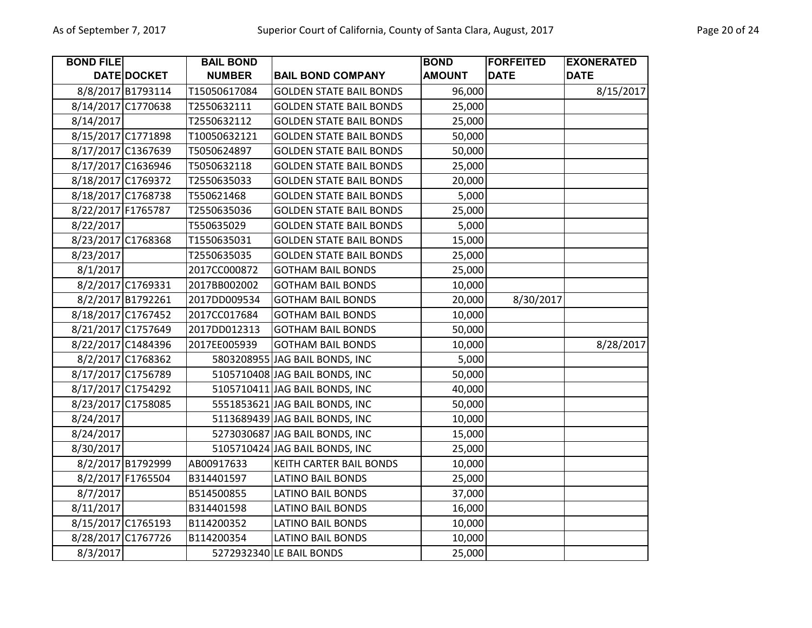| <b>BOND FILE</b>   |                    | <b>BAIL BOND</b> |                                | <b>BOND</b>   | <b>FORFEITED</b> | <b>EXONERATED</b> |
|--------------------|--------------------|------------------|--------------------------------|---------------|------------------|-------------------|
|                    | DATE DOCKET        | <b>NUMBER</b>    | <b>BAIL BOND COMPANY</b>       | <b>AMOUNT</b> | <b>DATE</b>      | <b>DATE</b>       |
|                    | 8/8/2017 B1793114  | T15050617084     | <b>GOLDEN STATE BAIL BONDS</b> | 96,000        |                  | 8/15/2017         |
|                    | 8/14/2017 C1770638 | T2550632111      | <b>GOLDEN STATE BAIL BONDS</b> | 25,000        |                  |                   |
| 8/14/2017          |                    | T2550632112      | <b>GOLDEN STATE BAIL BONDS</b> | 25,000        |                  |                   |
|                    | 8/15/2017 C1771898 | T10050632121     | <b>GOLDEN STATE BAIL BONDS</b> | 50,000        |                  |                   |
|                    | 8/17/2017 C1367639 | T5050624897      | <b>GOLDEN STATE BAIL BONDS</b> | 50,000        |                  |                   |
|                    | 8/17/2017 C1636946 | T5050632118      | <b>GOLDEN STATE BAIL BONDS</b> | 25,000        |                  |                   |
|                    | 8/18/2017 C1769372 | T2550635033      | <b>GOLDEN STATE BAIL BONDS</b> | 20,000        |                  |                   |
| 8/18/2017 C1768738 |                    | T550621468       | <b>GOLDEN STATE BAIL BONDS</b> | 5,000         |                  |                   |
| 8/22/2017 F1765787 |                    | T2550635036      | <b>GOLDEN STATE BAIL BONDS</b> | 25,000        |                  |                   |
| 8/22/2017          |                    | T550635029       | <b>GOLDEN STATE BAIL BONDS</b> | 5,000         |                  |                   |
|                    | 8/23/2017 C1768368 | T1550635031      | <b>GOLDEN STATE BAIL BONDS</b> | 15,000        |                  |                   |
| 8/23/2017          |                    | T2550635035      | <b>GOLDEN STATE BAIL BONDS</b> | 25,000        |                  |                   |
| 8/1/2017           |                    | 2017CC000872     | <b>GOTHAM BAIL BONDS</b>       | 25,000        |                  |                   |
|                    | 8/2/2017 C1769331  | 2017BB002002     | <b>GOTHAM BAIL BONDS</b>       | 10,000        |                  |                   |
|                    | 8/2/2017 B1792261  | 2017DD009534     | <b>GOTHAM BAIL BONDS</b>       | 20,000        | 8/30/2017        |                   |
|                    | 8/18/2017 C1767452 | 2017CC017684     | <b>GOTHAM BAIL BONDS</b>       | 10,000        |                  |                   |
|                    | 8/21/2017 C1757649 | 2017DD012313     | <b>GOTHAM BAIL BONDS</b>       | 50,000        |                  |                   |
|                    | 8/22/2017 C1484396 | 2017EE005939     | <b>GOTHAM BAIL BONDS</b>       | 10,000        |                  | 8/28/2017         |
|                    | 8/2/2017 C1768362  |                  | 5803208955 JAG BAIL BONDS, INC | 5,000         |                  |                   |
|                    | 8/17/2017 C1756789 |                  | 5105710408 JAG BAIL BONDS, INC | 50,000        |                  |                   |
|                    | 8/17/2017 C1754292 |                  | 5105710411 JAG BAIL BONDS, INC | 40,000        |                  |                   |
|                    | 8/23/2017 C1758085 |                  | 5551853621 JAG BAIL BONDS, INC | 50,000        |                  |                   |
| 8/24/2017          |                    |                  | 5113689439 JAG BAIL BONDS, INC | 10,000        |                  |                   |
| 8/24/2017          |                    |                  | 5273030687 JAG BAIL BONDS, INC | 15,000        |                  |                   |
| 8/30/2017          |                    |                  | 5105710424 JAG BAIL BONDS, INC | 25,000        |                  |                   |
|                    | 8/2/2017 B1792999  | AB00917633       | KEITH CARTER BAIL BONDS        | 10,000        |                  |                   |
|                    | 8/2/2017 F1765504  | B314401597       | <b>LATINO BAIL BONDS</b>       | 25,000        |                  |                   |
| 8/7/2017           |                    | B514500855       | <b>LATINO BAIL BONDS</b>       | 37,000        |                  |                   |
| 8/11/2017          |                    | B314401598       | <b>LATINO BAIL BONDS</b>       | 16,000        |                  |                   |
|                    | 8/15/2017 C1765193 | B114200352       | <b>LATINO BAIL BONDS</b>       | 10,000        |                  |                   |
|                    | 8/28/2017 C1767726 | B114200354       | <b>LATINO BAIL BONDS</b>       | 10,000        |                  |                   |
| 8/3/2017           |                    |                  | 5272932340 LE BAIL BONDS       | 25,000        |                  |                   |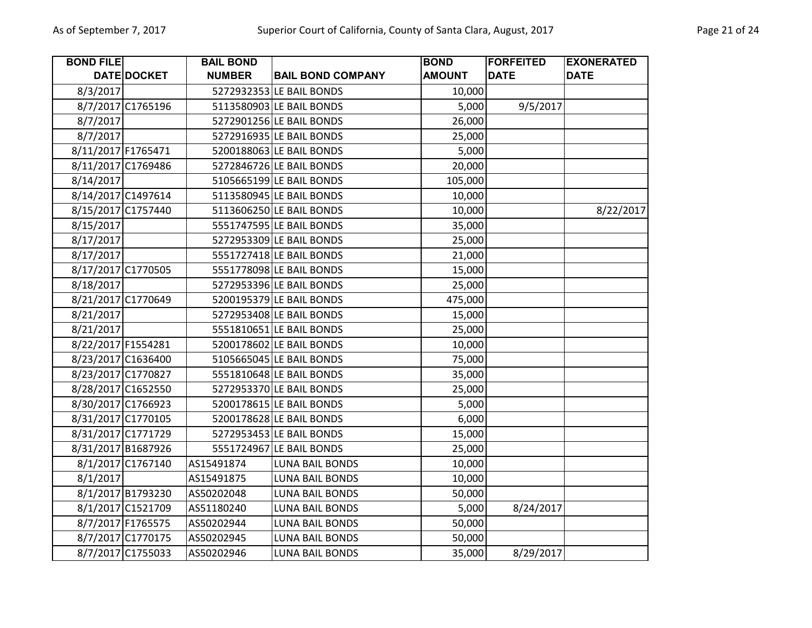| <b>BOND FILE</b>   |                    | <b>BAIL BOND</b> |                          | <b>BOND</b>   | <b>FORFEITED</b> | <b>EXONERATED</b> |
|--------------------|--------------------|------------------|--------------------------|---------------|------------------|-------------------|
|                    | DATE DOCKET        | <b>NUMBER</b>    | <b>BAIL BOND COMPANY</b> | <b>AMOUNT</b> | <b>DATE</b>      | <b>DATE</b>       |
| 8/3/2017           |                    |                  | 5272932353 LE BAIL BONDS | 10,000        |                  |                   |
|                    | 8/7/2017 C1765196  |                  | 5113580903 LE BAIL BONDS | 5,000         | 9/5/2017         |                   |
| 8/7/2017           |                    |                  | 5272901256 LE BAIL BONDS | 26,000        |                  |                   |
| 8/7/2017           |                    |                  | 5272916935 LE BAIL BONDS | 25,000        |                  |                   |
| 8/11/2017 F1765471 |                    |                  | 5200188063 LE BAIL BONDS | 5,000         |                  |                   |
|                    | 8/11/2017 C1769486 |                  | 5272846726 LE BAIL BONDS | 20,000        |                  |                   |
| 8/14/2017          |                    |                  | 5105665199 LE BAIL BONDS | 105,000       |                  |                   |
|                    | 8/14/2017 C1497614 |                  | 5113580945 LE BAIL BONDS | 10,000        |                  |                   |
|                    | 8/15/2017 C1757440 |                  | 5113606250 LE BAIL BONDS | 10,000        |                  | 8/22/2017         |
| 8/15/2017          |                    |                  | 5551747595 LE BAIL BONDS | 35,000        |                  |                   |
| 8/17/2017          |                    |                  | 5272953309 LE BAIL BONDS | 25,000        |                  |                   |
| 8/17/2017          |                    |                  | 5551727418 LE BAIL BONDS | 21,000        |                  |                   |
|                    | 8/17/2017 C1770505 |                  | 5551778098 LE BAIL BONDS | 15,000        |                  |                   |
| 8/18/2017          |                    |                  | 5272953396 LE BAIL BONDS | 25,000        |                  |                   |
|                    | 8/21/2017 C1770649 |                  | 5200195379 LE BAIL BONDS | 475,000       |                  |                   |
| 8/21/2017          |                    |                  | 5272953408 LE BAIL BONDS | 15,000        |                  |                   |
| 8/21/2017          |                    |                  | 5551810651 LE BAIL BONDS | 25,000        |                  |                   |
| 8/22/2017 F1554281 |                    |                  | 5200178602 LE BAIL BONDS | 10,000        |                  |                   |
|                    | 8/23/2017 C1636400 |                  | 5105665045 LE BAIL BONDS | 75,000        |                  |                   |
|                    | 8/23/2017 C1770827 |                  | 5551810648 LE BAIL BONDS | 35,000        |                  |                   |
|                    | 8/28/2017 C1652550 |                  | 5272953370 LE BAIL BONDS | 25,000        |                  |                   |
|                    | 8/30/2017 C1766923 |                  | 5200178615 LE BAIL BONDS | 5,000         |                  |                   |
|                    | 8/31/2017 C1770105 |                  | 5200178628 LE BAIL BONDS | 6,000         |                  |                   |
|                    | 8/31/2017 C1771729 |                  | 5272953453 LE BAIL BONDS | 15,000        |                  |                   |
|                    | 8/31/2017 B1687926 |                  | 5551724967 LE BAIL BONDS | 25,000        |                  |                   |
|                    | 8/1/2017 C1767140  | AS15491874       | <b>LUNA BAIL BONDS</b>   | 10,000        |                  |                   |
| 8/1/2017           |                    | AS15491875       | <b>LUNA BAIL BONDS</b>   | 10,000        |                  |                   |
|                    | 8/1/2017 B1793230  | AS50202048       | <b>LUNA BAIL BONDS</b>   | 50,000        |                  |                   |
|                    | 8/1/2017 C1521709  | AS51180240       | <b>LUNA BAIL BONDS</b>   | 5,000         | 8/24/2017        |                   |
|                    | 8/7/2017 F1765575  | AS50202944       | <b>LUNA BAIL BONDS</b>   | 50,000        |                  |                   |
|                    | 8/7/2017 C1770175  | AS50202945       | <b>LUNA BAIL BONDS</b>   | 50,000        |                  |                   |
|                    | 8/7/2017 C1755033  | AS50202946       | <b>LUNA BAIL BONDS</b>   | 35,000        | 8/29/2017        |                   |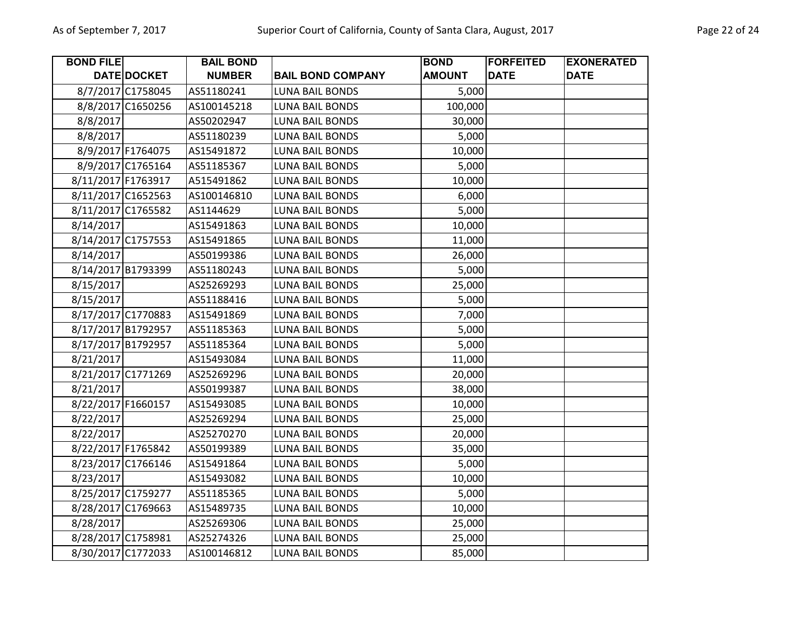| <b>BOND FILE</b>   |                    | <b>BAIL BOND</b> |                          | <b>BOND</b>   | <b>FORFEITED</b> | <b>EXONERATED</b> |
|--------------------|--------------------|------------------|--------------------------|---------------|------------------|-------------------|
|                    | DATE DOCKET        | <b>NUMBER</b>    | <b>BAIL BOND COMPANY</b> | <b>AMOUNT</b> | <b>DATE</b>      | <b>DATE</b>       |
|                    | 8/7/2017 C1758045  | AS51180241       | <b>LUNA BAIL BONDS</b>   | 5,000         |                  |                   |
|                    | 8/8/2017 C1650256  | AS100145218      | <b>LUNA BAIL BONDS</b>   | 100,000       |                  |                   |
| 8/8/2017           |                    | AS50202947       | <b>LUNA BAIL BONDS</b>   | 30,000        |                  |                   |
| 8/8/2017           |                    | AS51180239       | LUNA BAIL BONDS          | 5,000         |                  |                   |
|                    | 8/9/2017 F1764075  | AS15491872       | <b>LUNA BAIL BONDS</b>   | 10,000        |                  |                   |
|                    | 8/9/2017 C1765164  | AS51185367       | <b>LUNA BAIL BONDS</b>   | 5,000         |                  |                   |
|                    | 8/11/2017 F1763917 | A515491862       | LUNA BAIL BONDS          | 10,000        |                  |                   |
|                    | 8/11/2017 C1652563 | AS100146810      | <b>LUNA BAIL BONDS</b>   | 6,000         |                  |                   |
|                    | 8/11/2017 C1765582 | AS1144629        | LUNA BAIL BONDS          | 5,000         |                  |                   |
| 8/14/2017          |                    | AS15491863       | <b>LUNA BAIL BONDS</b>   | 10,000        |                  |                   |
|                    | 8/14/2017 C1757553 | AS15491865       | <b>LUNA BAIL BONDS</b>   | 11,000        |                  |                   |
| 8/14/2017          |                    | AS50199386       | <b>LUNA BAIL BONDS</b>   | 26,000        |                  |                   |
|                    | 8/14/2017 B1793399 | AS51180243       | <b>LUNA BAIL BONDS</b>   | 5,000         |                  |                   |
| 8/15/2017          |                    | AS25269293       | LUNA BAIL BONDS          | 25,000        |                  |                   |
| 8/15/2017          |                    | AS51188416       | <b>LUNA BAIL BONDS</b>   | 5,000         |                  |                   |
|                    | 8/17/2017 C1770883 | AS15491869       | <b>LUNA BAIL BONDS</b>   | 7,000         |                  |                   |
|                    | 8/17/2017 B1792957 | AS51185363       | <b>LUNA BAIL BONDS</b>   | 5,000         |                  |                   |
|                    | 8/17/2017 B1792957 | AS51185364       | <b>LUNA BAIL BONDS</b>   | 5,000         |                  |                   |
| 8/21/2017          |                    | AS15493084       | <b>LUNA BAIL BONDS</b>   | 11,000        |                  |                   |
|                    | 8/21/2017 C1771269 | AS25269296       | <b>LUNA BAIL BONDS</b>   | 20,000        |                  |                   |
| 8/21/2017          |                    | AS50199387       | <b>LUNA BAIL BONDS</b>   | 38,000        |                  |                   |
| 8/22/2017 F1660157 |                    | AS15493085       | <b>LUNA BAIL BONDS</b>   | 10,000        |                  |                   |
| 8/22/2017          |                    | AS25269294       | <b>LUNA BAIL BONDS</b>   | 25,000        |                  |                   |
| 8/22/2017          |                    | AS25270270       | <b>LUNA BAIL BONDS</b>   | 20,000        |                  |                   |
| 8/22/2017 F1765842 |                    | AS50199389       | <b>LUNA BAIL BONDS</b>   | 35,000        |                  |                   |
|                    | 8/23/2017 C1766146 | AS15491864       | <b>LUNA BAIL BONDS</b>   | 5,000         |                  |                   |
| 8/23/2017          |                    | AS15493082       | <b>LUNA BAIL BONDS</b>   | 10,000        |                  |                   |
|                    | 8/25/2017 C1759277 | AS51185365       | <b>LUNA BAIL BONDS</b>   | 5,000         |                  |                   |
|                    | 8/28/2017 C1769663 | AS15489735       | <b>LUNA BAIL BONDS</b>   | 10,000        |                  |                   |
| 8/28/2017          |                    | AS25269306       | <b>LUNA BAIL BONDS</b>   | 25,000        |                  |                   |
|                    | 8/28/2017 C1758981 | AS25274326       | <b>LUNA BAIL BONDS</b>   | 25,000        |                  |                   |
|                    | 8/30/2017 C1772033 | AS100146812      | <b>LUNA BAIL BONDS</b>   | 85,000        |                  |                   |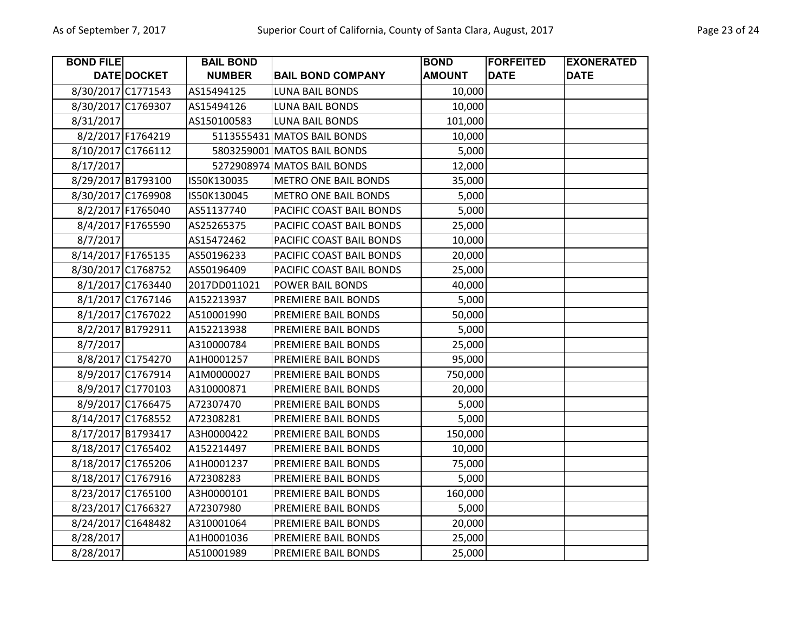| <b>BOND FILE</b>   |                    | <b>BAIL BOND</b> |                             | <b>BOND</b>   | <b>FORFEITED</b> | <b>EXONERATED</b> |
|--------------------|--------------------|------------------|-----------------------------|---------------|------------------|-------------------|
|                    | DATE DOCKET        | <b>NUMBER</b>    | <b>BAIL BOND COMPANY</b>    | <b>AMOUNT</b> | <b>DATE</b>      | <b>DATE</b>       |
|                    | 8/30/2017 C1771543 | AS15494125       | <b>LUNA BAIL BONDS</b>      | 10,000        |                  |                   |
| 8/30/2017 C1769307 |                    | AS15494126       | <b>LUNA BAIL BONDS</b>      | 10,000        |                  |                   |
| 8/31/2017          |                    | AS150100583      | <b>LUNA BAIL BONDS</b>      | 101,000       |                  |                   |
|                    | 8/2/2017 F1764219  |                  | 5113555431 MATOS BAIL BONDS | 10,000        |                  |                   |
|                    | 8/10/2017 C1766112 |                  | 5803259001 MATOS BAIL BONDS | 5,000         |                  |                   |
| 8/17/2017          |                    |                  | 5272908974 MATOS BAIL BONDS | 12,000        |                  |                   |
|                    | 8/29/2017 B1793100 | IS50K130035      | <b>METRO ONE BAIL BONDS</b> | 35,000        |                  |                   |
|                    | 8/30/2017 C1769908 | IS50K130045      | <b>METRO ONE BAIL BONDS</b> | 5,000         |                  |                   |
|                    | 8/2/2017 F1765040  | AS51137740       | PACIFIC COAST BAIL BONDS    | 5,000         |                  |                   |
|                    | 8/4/2017 F1765590  | AS25265375       | PACIFIC COAST BAIL BONDS    | 25,000        |                  |                   |
| 8/7/2017           |                    | AS15472462       | PACIFIC COAST BAIL BONDS    | 10,000        |                  |                   |
| 8/14/2017 F1765135 |                    | AS50196233       | PACIFIC COAST BAIL BONDS    | 20,000        |                  |                   |
| 8/30/2017 C1768752 |                    | AS50196409       | PACIFIC COAST BAIL BONDS    | 25,000        |                  |                   |
|                    | 8/1/2017 C1763440  | 2017DD011021     | POWER BAIL BONDS            | 40,000        |                  |                   |
|                    | 8/1/2017 C1767146  | A152213937       | PREMIERE BAIL BONDS         | 5,000         |                  |                   |
|                    | 8/1/2017 C1767022  | A510001990       | PREMIERE BAIL BONDS         | 50,000        |                  |                   |
|                    | 8/2/2017 B1792911  | A152213938       | PREMIERE BAIL BONDS         | 5,000         |                  |                   |
| 8/7/2017           |                    | A310000784       | PREMIERE BAIL BONDS         | 25,000        |                  |                   |
|                    | 8/8/2017 C1754270  | A1H0001257       | PREMIERE BAIL BONDS         | 95,000        |                  |                   |
|                    | 8/9/2017 C1767914  | A1M0000027       | PREMIERE BAIL BONDS         | 750,000       |                  |                   |
|                    | 8/9/2017 C1770103  | A310000871       | PREMIERE BAIL BONDS         | 20,000        |                  |                   |
|                    | 8/9/2017 C1766475  | A72307470        | PREMIERE BAIL BONDS         | 5,000         |                  |                   |
|                    | 8/14/2017 C1768552 | A72308281        | PREMIERE BAIL BONDS         | 5,000         |                  |                   |
|                    | 8/17/2017 B1793417 | A3H0000422       | PREMIERE BAIL BONDS         | 150,000       |                  |                   |
| 8/18/2017 C1765402 |                    | A152214497       | PREMIERE BAIL BONDS         | 10,000        |                  |                   |
|                    | 8/18/2017 C1765206 | A1H0001237       | PREMIERE BAIL BONDS         | 75,000        |                  |                   |
| 8/18/2017 C1767916 |                    | A72308283        | PREMIERE BAIL BONDS         | 5,000         |                  |                   |
| 8/23/2017 C1765100 |                    | A3H0000101       | PREMIERE BAIL BONDS         | 160,000       |                  |                   |
| 8/23/2017 C1766327 |                    | A72307980        | PREMIERE BAIL BONDS         | 5,000         |                  |                   |
| 8/24/2017 C1648482 |                    | A310001064       | PREMIERE BAIL BONDS         | 20,000        |                  |                   |
| 8/28/2017          |                    | A1H0001036       | PREMIERE BAIL BONDS         | 25,000        |                  |                   |
| 8/28/2017          |                    | A510001989       | PREMIERE BAIL BONDS         | 25,000        |                  |                   |